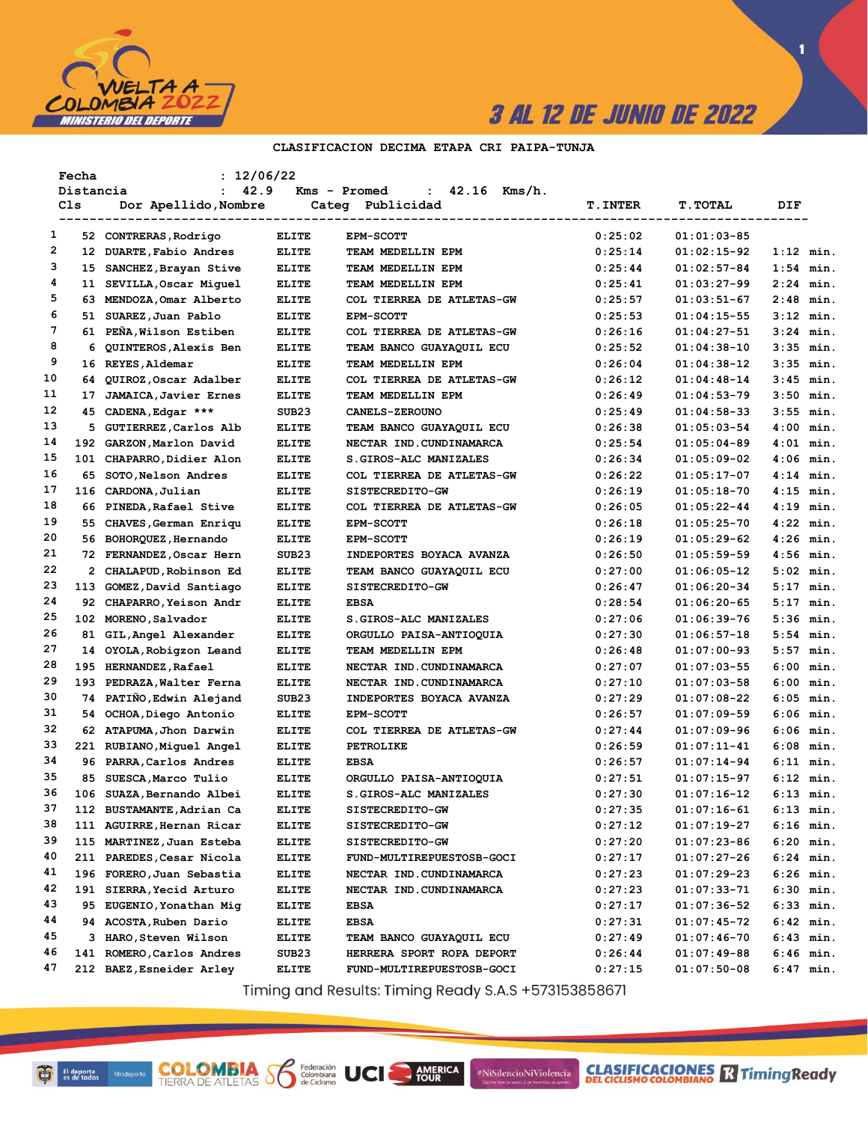

 $\blacksquare$ 

### CLASIFICACION DECIMA ETAPA CRI PAIPA-TUNJA

|    | Fecha     | : 12/06/22                   |                   |                                                |                |                |              |
|----|-----------|------------------------------|-------------------|------------------------------------------------|----------------|----------------|--------------|
|    | Distancia | 42.9<br>$\mathbf{r}$         |                   | $42.16$ Kms/h.<br>Kms - Promed<br>$\mathbf{L}$ |                |                |              |
|    | Cls       | Dor Apellido, Nombre         |                   | Categ Publicidad                               | <b>T.INTER</b> | <b>T.TOTAL</b> | DIF          |
|    |           |                              |                   |                                                |                |                |              |
| 1  |           | 52 CONTRERAS, Rodrigo        | ELITE             | <b>EPM-SCOTT</b>                               | 0:25:02        | $01:01:03-85$  |              |
| 2  |           | 12 DUARTE, Fabio Andres      | <b>ELITE</b>      | TEAM MEDELLIN EPM                              | 0:25:14        | $01:02:15-92$  | $1:12$ min.  |
| 3  |           | 15 SANCHEZ, Brayan Stive     | <b>ELITE</b>      | TEAM MEDELLIN EPM                              | 0:25:44        | $01:02:57-84$  | $1:54$ min.  |
| 4  |           | 11 SEVILLA, Oscar Miquel     | <b>ELITE</b>      | TEAM MEDELLIN EPM                              | 0:25:41        | $01:03:27-99$  | $2:24$ min.  |
| 5  |           | 63 MENDOZA, Omar Alberto     | <b>ELITE</b>      | COL TIERREA DE ATLETAS-GW                      | 0:25:57        | $01:03:51-67$  | $2:48$ min.  |
| 6  |           | 51 SUAREZ, Juan Pablo        | <b>ELITE</b>      | <b>EPM-SCOTT</b>                               | 0:25:53        | $01:04:15-55$  | $3:12$ min.  |
| 7  |           | 61 PEÑA, Wilson Estiben      | <b>ELITE</b>      | COL TIERREA DE ATLETAS-GW                      | 0:26:16        | 01:04:27-51    | $3:24$ min.  |
| 8  |           | 6 QUINTEROS, Alexis Ben      | <b>ELITE</b>      | TEAM BANCO GUAYAQUIL ECU                       | 0:25:52        | $01:04:38-10$  | $3:35$ min.  |
| 9  |           | 16 REYES, Aldemar            | <b>ELITE</b>      | TEAM MEDELLIN EPM                              | 0:26:04        | $01:04:38-12$  | $3:35$ min.  |
| 10 | 64.       | QUIROZ, Oscar Adalber        | <b>ELITE</b>      | COL TIERREA DE ATLETAS-GW                      | 0:26:12        | $01:04:48-14$  | $3:45$ min.  |
| 11 | 17        | <b>JAMAICA, Javier Ernes</b> | ELITE             | TEAM MEDELLIN EPM                              | 0:26:49        | $01:04:53-79$  | $3:50$ min.  |
| 12 |           | 45 CADENA, Edgar ***         | SUB <sub>23</sub> | <b>CANELS-ZEROUNO</b>                          | 0:25:49        | $01:04:58-33$  | $3:55$ min.  |
| 13 |           | 5 GUTIERREZ, Carlos Alb      | ELITE             | TEAM BANCO GUAYAQUIL ECU                       | 0:26:38        | $01:05:03-54$  | $4:00$ min.  |
| 14 |           | 192 GARZON, Marlon David     | <b>ELITE</b>      | NECTAR IND. CUNDINAMARCA                       | 0:25:54        | $01:05:04-89$  | $4:01$ min.  |
| 15 |           | 101 CHAPARRO, Didier Alon    | <b>ELITE</b>      | S.GIROS-ALC MANIZALES                          | 0:26:34        | $01:05:09-02$  | $4:06$ min.  |
| 16 |           | 65 SOTO, Nelson Andres       | <b>ELITE</b>      | COL TIERREA DE ATLETAS-GW                      | 0:26:22        | $01:05:17-07$  | $4:14$ min.  |
| 17 | 116       | CARDONA, Julian              | ELITE             | SISTECREDITO-GW                                | 0:26:19        | $01:05:18-70$  | $4:15$ min.  |
| 18 |           | 66 PINEDA, Rafael Stive      | <b>ELITE</b>      | COL TIERREA DE ATLETAS-GW                      | 0:26:05        | $01:05:22-44$  | $4:19$ min.  |
| 19 |           | 55 CHAVES, German Enriqu     | <b>ELITE</b>      | <b>EPM-SCOTT</b>                               | 0:26:18        | $01:05:25-70$  | $4:22$ min.  |
| 20 |           | 56 BOHORQUEZ, Hernando       | ELITE             | <b>EPM-SCOTT</b>                               | 0:26:19        | $01:05:29-62$  | $4:26$ min.  |
| 21 |           | 72 FERNANDEZ, Oscar Hern     | SUB <sub>23</sub> | INDEPORTES BOYACA AVANZA                       | 0:26:50        | $01:05:59-59$  | $4:56$ min.  |
| 22 |           | 2 CHALAPUD, Robinson Ed      | <b>ELITE</b>      | TEAM BANCO GUAYAQUIL ECU                       | 0:27:00        | $01:06:05-12$  | $5:02$ min.  |
| 23 |           | 113 GOMEZ, David Santiago    | <b>ELITE</b>      | SISTECREDITO-GW                                | 0:26:47        | $01:06:20-34$  | $5:17$ min.  |
| 24 |           | 92 CHAPARRO, Yeison Andr     | <b>ELITE</b>      | EBSA                                           | 0:28:54        | $01:06:20-65$  | $5:17$ min.  |
| 25 |           | 102 MORENO, Salvador         | <b>ELITE</b>      | S.GIROS-ALC MANIZALES                          | 0:27:06        | 01:06:39-76    | $5:36$ min.  |
| 26 |           | 81 GIL, Angel Alexander      | <b>ELITE</b>      | ORGULLO PAISA-ANTIOQUIA                        | 0:27:30        | $01:06:57-18$  | $5:54$ min.  |
| 27 |           | 14 OYOLA, Robigzon Leand     | <b>ELITE</b>      | TEAM MEDELLIN EPM                              | 0:26:48        | $01:07:00-93$  | $5:57$ min.  |
| 28 |           | 195 HERNANDEZ, Rafael        | <b>ELITE</b>      | NECTAR IND.CUNDINAMARCA                        | 0:27:07        | $01:07:03-55$  | $6:00$ min.  |
| 29 |           | 193 PEDRAZA, Walter Ferna    | <b>ELITE</b>      | NECTAR IND.CUNDINAMARCA                        | 0:27:10        | $01:07:03-58$  | 6:00<br>min. |
| 30 |           | 74 PATIÑO, Edwin Alejand     | SUB <sub>23</sub> | INDEPORTES BOYACA AVANZA                       | 0:27:29        | $01:07:08-22$  | 6:05 min.    |
| 31 |           | 54 OCHOA, Diego Antonio      | <b>ELITE</b>      | <b>EPM-SCOTT</b>                               | 0:26:57        | $01:07:09-59$  | $6:06$ min.  |
| 32 |           | 62 ATAPUMA, Jhon Darwin      | <b>ELITE</b>      | COL TIERREA DE ATLETAS-GW                      | 0:27:44        | $01:07:09-96$  | 6:06 min.    |
| 33 |           | 221 RUBIANO, Miguel Angel    | ELITE             | <b>PETROLIKE</b>                               | 0:26:59        | $01:07:11-41$  | $6:08$ min.  |
| 34 |           | 96 PARRA, Carlos Andres      | <b>ELITE</b>      | EBSA                                           | 0:26:57        | $01:07:14-94$  | 6:11 min.    |
| 35 |           | 85 SUESCA, Marco Tulio       | ELITE             | ORGULLO PAISA-ANTIOQUIA                        | 0:27:51        | $01:07:15-97$  | $6:12$ min.  |
| 36 |           | 106 SUAZA, Bernando Albei    | <b>ELITE</b>      | S.GIROS-ALC MANIZALES                          | 0:27:30        | 01:07:16-12    | 6:13 min.    |
| 37 |           | 112 BUSTAMANTE, Adrian Ca    | <b>ELITE</b>      | <b>SISTECREDITO-GW</b>                         | 0:27:35        | $01:07:16-61$  | 6:13 min.    |
| 38 |           | 111 AGUIRRE, Hernan Ricar    | <b>ELITE</b>      | <b>SISTECREDITO-GW</b>                         | 0:27:12        | 01:07:19-27    | 6:16 min.    |
| 39 |           | 115 MARTINEZ, Juan Esteba    | <b>ELITE</b>      | SISTECREDITO-GW                                | 0:27:20        | 01:07:23-86    | $6:20$ min.  |
| 40 |           | 211 PAREDES, Cesar Nicola    | <b>ELITE</b>      | FUND-MULTIREPUESTOSB-GOCI                      | 0:27:17        | 01:07:27-26    | 6:24 min.    |
| 41 |           | 196 FORERO, Juan Sebastia    | <b>ELITE</b>      | NECTAR IND.CUNDINAMARCA                        | 0:27:23        | 01:07:29-23    | 6:26 min.    |
| 42 |           |                              |                   |                                                |                | $01:07:33-71$  |              |
| 43 |           | 191 SIERRA, Yecid Arturo     | <b>ELITE</b>      | NECTAR IND. CUNDINAMARCA<br>EBSA               | 0:27:23        |                | 6:30 min.    |
| 44 |           | 95 EUGENIO, Yonathan Mig     | <b>ELITE</b>      |                                                | 0:27:17        | 01:07:36-52    | 6:33 min.    |
| 45 |           | 94 ACOSTA, Ruben Dario       | <b>ELITE</b>      | EBSA                                           | 0:27:31        | 01:07:45-72    | 6:42 min.    |
|    |           | 3 HARO, Steven Wilson        | <b>ELITE</b>      | TEAM BANCO GUAYAQUIL ECU                       | 0:27:49        | 01:07:46-70    | 6:43 min.    |
| 46 |           | 141 ROMERO, Carlos Andres    | SUB23             | HERRERA SPORT ROPA DEPORT                      | 0:26:44        | 01:07:49-88    | 6:46 min.    |
| 47 |           | 212 BAEZ, Esneider Arley     | <b>ELITE</b>      | FUND-MULTIREPUESTOSB-GOCI                      | 0:27:15        | 01:07:50-08    | $6:47$ min.  |

Timing and Results: Timing Ready S.A.S +573153858671

AMERICA

#NiSilencioNiViolencia

**COLOMBIA S** 

Federación<br>Colombiana<br>de Ciclismo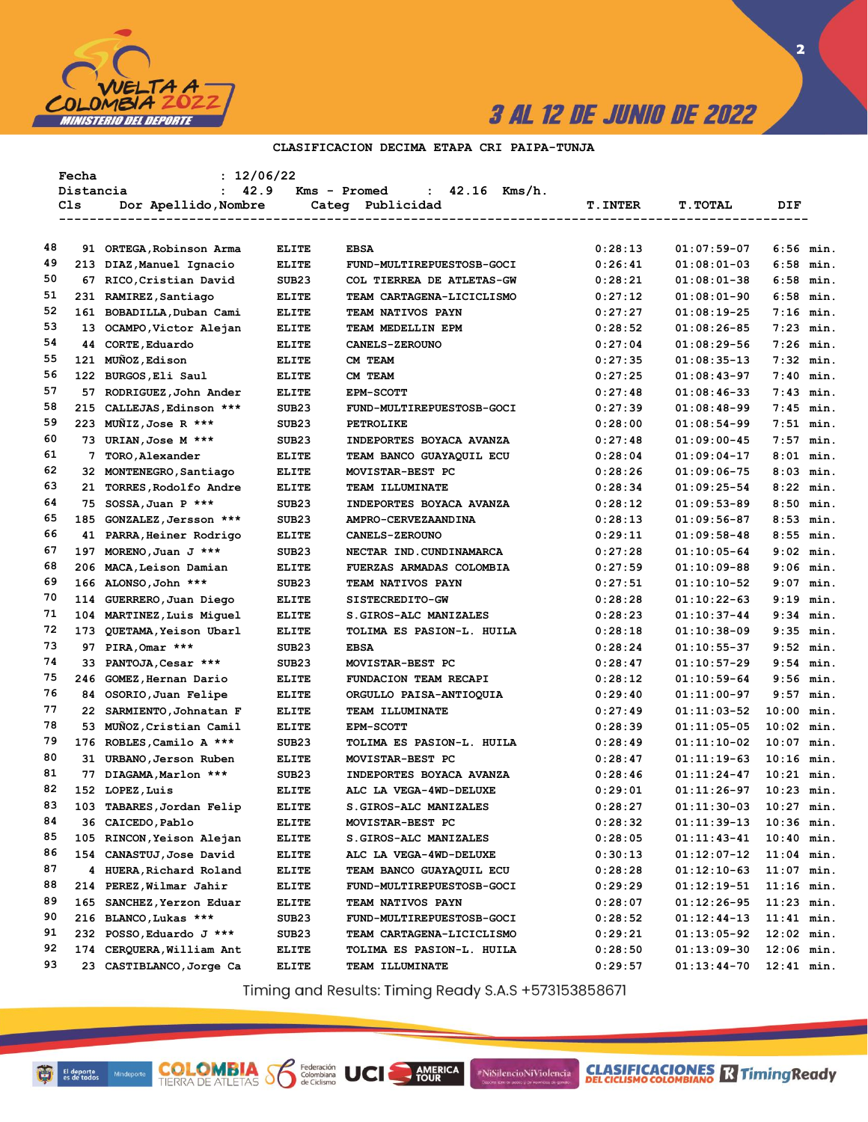

 $\overline{\mathbf{2}}$ 

### CLASIFICACION DECIMA ETAPA CRI PAIPA-TUNJA

|          | Fecha     | : 12/06/22                                     |                                   |                                                    |                |                                |              |  |
|----------|-----------|------------------------------------------------|-----------------------------------|----------------------------------------------------|----------------|--------------------------------|--------------|--|
|          | Distancia | : 42.9                                         |                                   | $42.16$ Kms/h.<br>Kms - Promed<br>$\mathbf{1}$     |                |                                |              |  |
|          | Cls       | Dor Apellido,Nombre                            |                                   | Categ Publicidad                                   | <b>T.INTER</b> | <b>T.TOTAL</b>                 | DIF.         |  |
|          |           |                                                |                                   | -----------------------------------                |                | ----------------------         |              |  |
| 48       |           | 91 ORTEGA, Robinson Arma                       | <b>ELITE</b>                      | <b>EBSA</b>                                        | 0:28:13        | $01:07:59-07$                  | $6:56$ min.  |  |
| 49       |           | 213 DIAZ, Manuel Ignacio                       | <b>ELITE</b>                      | FUND-MULTIREPUESTOSB-GOCI                          | 0:26:41        | $01:08:01-03$                  | $6:58$ min.  |  |
| 50       |           | 67 RICO, Cristian David                        | SUB <sub>23</sub>                 | COL TIERREA DE ATLETAS-GW                          | 0:28:21        | $01:08:01-38$                  | $6:58$ min.  |  |
| 51       |           | 231 RAMIREZ, Santiago                          | <b>ELITE</b>                      | TEAM CARTAGENA-LICICLISMO                          | 0:27:12        | $01:08:01-90$                  | $6:58$ min.  |  |
| 52       |           | 161 BOBADILLA, Duban Cami                      | <b>ELITE</b>                      | TEAM NATIVOS PAYN                                  | 0:27:27        | $01:08:19-25$                  | $7:16$ min.  |  |
| 53       |           | 13 OCAMPO, Victor Alejan                       | <b>ELITE</b>                      | TEAM MEDELLIN EPM                                  | 0:28:52        | $01:08:26-85$                  | $7:23$ min.  |  |
| 54       |           | 44 CORTE, Eduardo                              | <b>ELITE</b>                      | CANELS-ZEROUNO                                     | 0:27:04        | $01:08:29-56$                  | $7:26$ min.  |  |
| 55       |           | 121 MUÑOZ, Edison                              | <b>ELITE</b>                      | CM TEAM                                            | 0:27:35        | $01:08:35-13$                  | $7:32$ min.  |  |
| 56       |           | 122 BURGOS, Eli Saul                           | <b>ELITE</b>                      | CM TEAM                                            | 0:27:25        | $01:08:43-97$                  | $7:40$ min.  |  |
| 57       |           | 57 RODRIGUEZ, John Ander                       | <b>ELITE</b>                      | <b>EPM-SCOTT</b>                                   | 0:27:48        | $01:08:46-33$                  | $7:43$ min.  |  |
| 58       |           | 215 CALLEJAS, Edinson ***                      | SUB <sub>23</sub>                 | FUND-MULTIREPUESTOSB-GOCI                          | 0:27:39        | $01:08:48-99$                  | $7:45$ min.  |  |
| 59       |           | 223 MUÑIZ, Jose R ***                          | SUB <sub>23</sub>                 | <b>PETROLIKE</b>                                   | 0:28:00        | $01:08:54-99$                  | $7:51$ min.  |  |
| 60       |           | 73 URIAN, Jose M ***                           | SUB <sub>23</sub>                 | INDEPORTES BOYACA AVANZA                           | 0:27:48        | $01:09:00-45$                  | $7:57$ min.  |  |
| 61       | 7         | TORO, Alexander                                | <b>ELITE</b>                      | TEAM BANCO GUAYAQUIL ECU                           | 0:28:04        | $01:09:04-17$                  | $8:01$ min.  |  |
| 62       |           | 32 MONTENEGRO, Santiago                        | <b>ELITE</b>                      | MOVISTAR-BEST PC                                   | 0:28:26        | $01:09:06 - 75$                | $8:03$ min.  |  |
| 63       |           | 21 TORRES, Rodolfo Andre                       | <b>ELITE</b>                      | TEAM ILLUMINATE                                    | 0:28:34        | $01:09:25-54$                  | $8:22$ min.  |  |
| 64       |           | 75 SOSSA, Juan P ***                           | SUB <sub>23</sub>                 | INDEPORTES BOYACA AVANZA                           | 0:28:12        | $01:09:53-89$                  | $8:50$ min.  |  |
| 65       |           | 185 GONZALEZ, Jersson ***                      | SUB <sub>23</sub>                 | AMPRO-CERVEZAANDINA                                | 0:28:13        | $01:09:56-87$                  | $8:53$ min.  |  |
| 66       |           | 41 PARRA, Heiner Rodrigo                       | <b>ELITE</b>                      | <b>CANELS-ZEROUNO</b>                              | 0:29:11        | $01:09:58-48$                  | $8:55$ min.  |  |
| 67       |           | 197 MORENO, Juan J ***                         | SUB <sub>23</sub>                 | NECTAR IND. CUNDINAMARCA                           | 0:27:28        | $01:10:05-64$                  | $9:02$ min.  |  |
| 68       |           | 206 MACA, Leison Damian                        | <b>ELITE</b>                      | FUERZAS ARMADAS COLOMBIA                           | 0:27:59        | $01:10:09-88$                  | $9:06$ min.  |  |
| 69       |           | 166 ALONSO, John ***                           | SUB <sub>23</sub>                 | TEAM NATIVOS PAYN                                  | 0:27:51        | 01:10:10-52                    | $9:07$ min.  |  |
| 70       | 114       | GUERRERO,Juan Diego                            | <b>ELITE</b>                      | SISTECREDITO-GW                                    | 0:28:28        | $01:10:22-63$                  | $9:19$ min.  |  |
| 71       |           | 104 MARTINEZ, Luis Miquel                      |                                   |                                                    | 0:28:23        |                                | $9:34$ min.  |  |
| 72       |           |                                                | <b>ELITE</b>                      | S.GIROS-ALC MANIZALES<br>TOLIMA ES PASION-L. HUILA | 0:28:18        | $01:10:37-44$<br>$01:10:38-09$ | $9:35$ min.  |  |
| 73       |           | 173 QUETAMA, Yeison Ubarl<br>97 PIRA, Omar *** | <b>ELITE</b><br>SUB <sub>23</sub> | <b>EBSA</b>                                        | 0:28:24        |                                | $9:52$ min.  |  |
| 74       |           |                                                | SUB <sub>23</sub>                 |                                                    | 0:28:47        | $01:10:55-37$<br>$01:10:57-29$ | $9:54$ min.  |  |
| 75       |           | 33 PANTOJA, Cesar ***                          |                                   | MOVISTAR-BEST PC                                   |                |                                | $9:56$ min.  |  |
| 76       |           | 246 GOMEZ, Hernan Dario                        | <b>ELITE</b>                      | FUNDACION TEAM RECAPI                              | 0:28:12        | $01:10:59-64$                  |              |  |
| 77       |           | 84 OSORIO, Juan Felipe                         | <b>ELITE</b>                      | ORGULLO PAISA-ANTIOQUIA<br>TEAM ILLUMINATE         | 0:29:40        | $01:11:00-97$                  | $9:57$ min.  |  |
| 78       |           | 22 SARMIENTO, Johnatan F                       | <b>ELITE</b>                      |                                                    | 0:27:49        | 01:11:03-52                    | $10:00$ min. |  |
| 79       |           | 53 MUÑOZ, Cristian Camil                       | <b>ELITE</b>                      | <b>EPM-SCOTT</b>                                   | 0:28:39        | $01:11:05-05$                  | $10:02$ min. |  |
| 80       |           | 176 ROBLES, Camilo A ***                       | SUB <sub>23</sub>                 | TOLIMA ES PASION-L. HUILA                          | 0:28:49        | 01:11:10-02                    | $10:07$ min. |  |
| 81       |           | 31 URBANO, Jerson Ruben                        | <b>ELITE</b>                      | MOVISTAR-BEST PC                                   | 0:28:47        | $01:11:19-63$                  | $10:16$ min. |  |
| 82       |           | 77 DIAGAMA, Marlon ***                         | SUB <sub>23</sub>                 | INDEPORTES BOYACA AVANZA                           | 0:28:46        | 01:11:24-47                    | $10:21$ min. |  |
|          |           | 152 LOPEZ, Luis                                | <b>ELITE</b>                      | ALC LA VEGA-4WD-DELUXE                             | 0:29:01        | 01:11:26-97                    | $10:23$ min. |  |
| 83<br>84 |           | 103 TABARES, Jordan Felip                      | ELITE                             | <b>S.GIROS-ALC MANIZALES</b>                       | 0:28:27        | 01:11:30-03                    | $10:27$ min. |  |
|          |           | 36 CAICEDO, Pablo                              | <b>ELITE</b>                      | MOVISTAR-BEST PC                                   | 0:28:32        | 01:11:39-13                    | $10:36$ min. |  |
| 85<br>86 | 105       | RINCON, Yeison Alejan                          | <b>ELITE</b>                      | S.GIROS-ALC MANIZALES                              | 0:28:05        | 01:11:43-41                    | $10:40$ min. |  |
|          |           | 154 CANASTUJ, Jose David                       | <b>ELITE</b>                      | ALC LA VEGA-4WD-DELUXE                             | 0:30:13        | 01:12:07-12                    | $11:04$ min. |  |
| 87       |           | 4 HUERA, Richard Roland                        | <b>ELITE</b>                      | TEAM BANCO GUAYAQUIL ECU                           | 0:28:28        | 01:12:10-63                    | $11:07$ min. |  |
| 88       |           | 214 PEREZ, Wilmar Jahir                        | <b>ELITE</b>                      | FUND-MULTIREPUESTOSB-GOCI                          | 0:29:29        | $01:12:19-51$                  | $11:16$ min. |  |
| 89       | 165       | SANCHEZ, Yerzon Eduar                          | <b>ELITE</b>                      | <b>TEAM NATIVOS PAYN</b>                           | 0:28:07        | 01:12:26-95                    | $11:23$ min. |  |
| 90       |           | 216 BLANCO, Lukas ***                          | SUB23                             | FUND-MULTIREPUESTOSB-GOCI                          | 0:28:52        | 01:12:44-13                    | $11:41$ min. |  |
| 91       |           | 232 POSSO, Eduardo J ***                       | SUB23                             | TEAM CARTAGENA-LICICLISMO                          | 0:29:21        | $01:13:05-92$                  | $12:02$ min. |  |
| 92       |           | 174 CERQUERA, William Ant                      | <b>ELITE</b>                      | TOLIMA ES PASION-L. HUILA                          | 0:28:50        | 01:13:09-30                    | $12:06$ min. |  |
| 93       |           | 23 CASTIBLANCO, Jorge Ca                       | ELITE                             | TEAM ILLUMINATE                                    | 0:29:57        | $01:13:44-70$                  | $12:41$ min. |  |

Timing and Results: Timing Ready S.A.S +573153858671

AMERICA

#NiSilencioNiViolencia

**COLOMBIA S** 

Federación<br>Colombiana<br>de Ciclismo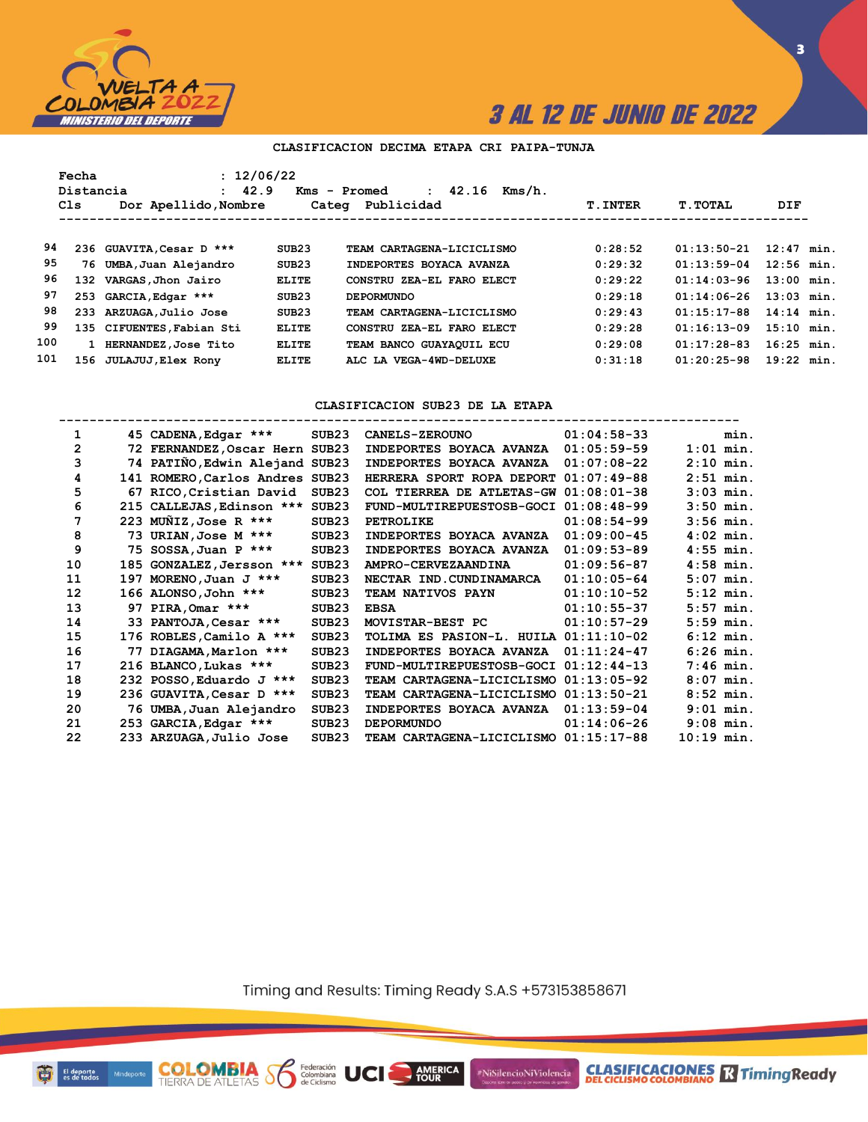

**CLASIFICACIONES M**Timing Ready

### **CLASIFICACION DECIMA ETAPA CRI PAIPA-TUNJA**

|     | Fecha<br>Distancia<br>Cls | : 12/06/22<br>: 42.9<br>Dor Apellido, Nombre |              | 42.16<br>Kms/h.<br>Kms - Promed<br>$\mathbf{r}$<br>Categ Publicidad | <b>T.INTER</b> | <b>T.TOTAL</b> | DIF          |  |
|-----|---------------------------|----------------------------------------------|--------------|---------------------------------------------------------------------|----------------|----------------|--------------|--|
|     |                           |                                              |              |                                                                     |                |                |              |  |
| 94  |                           | 236 GUAVITA, Cesar D ***                     | SUB23        | TEAM CARTAGENA-LICICLISMO                                           | 0:28:52        | $01:13:50-21$  | $12:47$ min. |  |
| 95  | 76                        | UMBA, Juan Alejandro                         | SUB23        | INDEPORTES BOYACA AVANZA                                            | 0:29:32        | $01:13:59-04$  | $12:56$ min. |  |
| 96  |                           | 132 VARGAS, Jhon Jairo                       | ELITE        | CONSTRU ZEA-EL FARO ELECT                                           | 0:29:22        | $01:14:03-96$  | $13:00$ min. |  |
| 97  | 253                       | GARCIA, Edgar ***                            | SUB23        | <b>DEPORMUNDO</b>                                                   | 0:29:18        | $01:14:06-26$  | $13:03$ min. |  |
| 98  |                           | 233 ARZUAGA, Julio Jose                      | SUB23        | TEAM CARTAGENA-LICICLISMO                                           | 0:29:43        | $01:15:17-88$  | $14:14$ min. |  |
| 99  |                           | 135 CIFUENTES, Fabian Sti                    | <b>ELITE</b> | CONSTRU ZEA-EL FARO ELECT                                           | 0:29:28        | $01:16:13-09$  | $15:10$ min. |  |
| 100 |                           | 1 HERNANDEZ, Jose Tito                       | <b>ELITE</b> | TEAM BANCO GUAYAQUIL ECU                                            | 0:29:08        | $01:17:28-83$  | $16:25$ min. |  |
| 101 |                           | 156 JULAJUJ, Elex Rony                       | <b>ELITE</b> | ALC LA VEGA-4WD-DELUXE                                              | 0:31:18        | $01:20:25-98$  | $19:22$ min. |  |
|     |                           |                                              |              |                                                                     |                |                |              |  |

### **CLASIFICACION SUB23 DE LA ETAPA**

| 1  | 45 CADENA, Edgar ***            | SUB23             | <b>CANELS-ZEROUNO</b>                 | $01:04:58-33$ |              | min.        |
|----|---------------------------------|-------------------|---------------------------------------|---------------|--------------|-------------|
| 2  | 72 FERNANDEZ, Oscar Hern SUB23  |                   | INDEPORTES BOYACA AVANZA              | $01:05:59-59$ |              | $1:01$ min. |
| 3  | 74 PATIÑO, Edwin Alejand SUB23  |                   | INDEPORTES BOYACA AVANZA              | $01:07:08-22$ |              | $2:10$ min. |
| 4  | 141 ROMERO, Carlos Andres SUB23 |                   | HERRERA SPORT ROPA DEPORT             | $01:07:49-88$ |              | $2:51$ min. |
| 5  | 67 RICO, Cristian David         | SUB <sub>23</sub> | COL TIERREA DE ATLETAS-GW 01:08:01-38 |               |              | $3:03$ min. |
| 6  | 215 CALLEJAS, Edinson *** SUB23 |                   | FUND-MULTIREPUESTOSB-GOCI             | $01:08:48-99$ |              | $3:50$ min. |
| 7  | 223 MUNIZ, Jose R ***           | SUB <sub>23</sub> | <b>PETROLIKE</b>                      | $01:08:54-99$ |              | $3:56$ min. |
| 8  | 73 URIAN, Jose M ***            | SUB23             | INDEPORTES BOYACA AVANZA              | $01:09:00-45$ |              | $4:02$ min. |
| 9  | 75 SOSSA, Juan P ***            | SUB23             | INDEPORTES BOYACA AVANZA              | $01:09:53-89$ |              | $4:55$ min. |
| 10 | 185 GONZALEZ, Jersson ***       | SUB23             | AMPRO-CERVEZAANDINA                   | $01:09:56-87$ |              | $4:58$ min. |
| 11 | 197 MORENO, Juan J ***          | SUB <sub>23</sub> | NECTAR IND.CUNDINAMARCA               | $01:10:05-64$ |              | $5:07$ min. |
| 12 | 166 ALONSO, John ***            | SUB23             | TEAM NATIVOS PAYN                     | $01:10:10-52$ |              | $5:12$ min. |
| 13 | 97 PIRA, Omar ***               | SUB23             | <b>EBSA</b>                           | $01:10:55-37$ |              | $5:57$ min. |
| 14 | 33 PANTOJA, Cesar ***           | SUB <sub>23</sub> | MOVISTAR-BEST PC                      | $01:10:57-29$ |              | $5:59$ min. |
| 15 | 176 ROBLES, Camilo A ***        | SUB <sub>23</sub> | TOLIMA ES PASION-L. HUILA 01:11:10-02 |               |              | $6:12$ min. |
| 16 | 77 DIAGAMA, Marlon ***          | SUB <sub>23</sub> | INDEPORTES BOYACA AVANZA              | $01:11:24-47$ |              | $6:26$ min. |
| 17 | 216 BLANCO, Lukas ***           | SUB <sub>23</sub> | FUND-MULTIREPUESTOSB-GOCI             | $01:12:44-13$ |              | $7:46$ min. |
| 18 | 232 POSSO, Eduardo J ***        | SUB <sub>23</sub> | TEAM CARTAGENA-LICICLISMO             | $01:13:05-92$ |              | $8:07$ min. |
| 19 | 236 GUAVITA, Cesar D ***        | SUB <sub>23</sub> | TEAM CARTAGENA-LICICLISMO             | $01:13:50-21$ |              | $8:52$ min. |
| 20 | 76 UMBA, Juan Alejandro         | SUB <sub>23</sub> | INDEPORTES BOYACA AVANZA              | $01:13:59-04$ |              | $9:01$ min. |
| 21 | 253 GARCIA, Edgar ***           | SUB <sub>23</sub> | <b>DEPORMUNDO</b>                     | $01:14:06-26$ |              | $9:08$ min. |
| 22 | 233 ARZUAGA, Julio Jose         | SUB <sub>23</sub> | TEAM CARTAGENA-LICICLISMO 01:15:17-88 |               | $10:19$ min. |             |

Timing and Results: Timing Ready S.A.S +573153858671

AMERICA

#NiSilencioNiViolencia

**COLOMBIA S6** 

Ð

El deporte<br>es de todos

Federación<br>Colombiana<br>de Ciclismo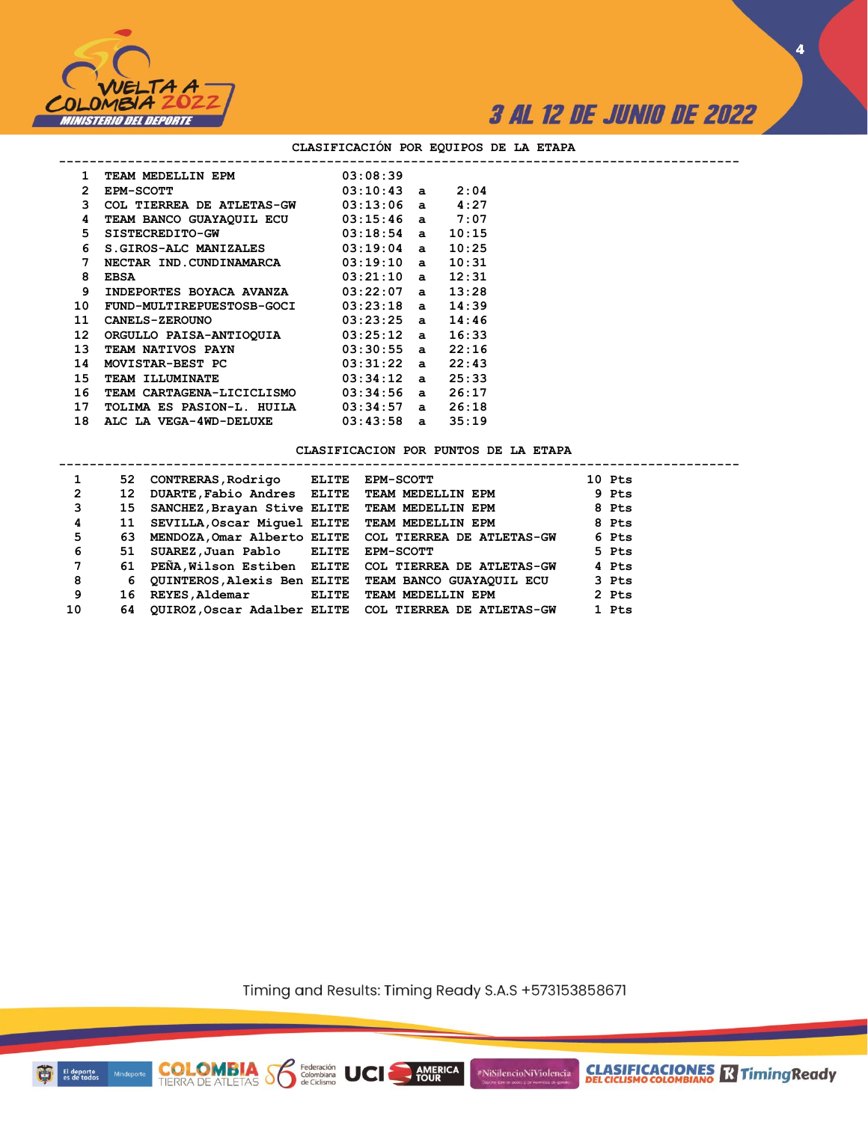

**4**

#### **CLASIFICACIÓN POR EQUIPOS DE LA ETAPA**

| 1                | TEAM MEDELLIN EPM            | 03:08:39            |       |  |
|------------------|------------------------------|---------------------|-------|--|
| $\mathbf{2}^-$   | <b>EPM-SCOTT</b>             | $03:10:43$ a $2:04$ |       |  |
| 3                | COL TIERREA DE ATLETAS-GW    | $03:13:06$ a $4:27$ |       |  |
| 4                | TEAM BANCO GUAYAQUIL ECU     | $03:15:46$ a $7:07$ |       |  |
| 5.               | SISTECREDITO-GW              | $03:18:54$ a        | 10:15 |  |
| 6                | <b>S.GIROS-ALC MANIZALES</b> | $03:19:04$ a        | 10:25 |  |
| 7                | NECTAR IND.CUNDINAMARCA      | $03:19:10$ a        | 10:31 |  |
| 8                | EBSA                         | 03:21:10a           | 12:31 |  |
| 9                | INDEPORTES BOYACA AVANZA     | $03:22:07$ a        | 13:28 |  |
| 10               | FUND-MULTIREPUESTOSB-GOCI    | $03:23:18$ a        | 14:39 |  |
| 11               | CANELS-ZEROUNO               | $03:23:25$ a        | 14:46 |  |
| 12 <sup>12</sup> | ORGULLO PAISA-ANTIOQUIA      | $03:25:12$ a        | 16:33 |  |
| 13 <sup>13</sup> | TEAM NATIVOS PAYN            | $03:30:55$ a        | 22:16 |  |
| 14               | MOVISTAR-BEST PC             | $03:31:22$ a        | 22:43 |  |
| 15               | TEAM ILLUMINATE              | $03:34:12$ a        | 25:33 |  |
| 16               | TEAM CARTAGENA-LICICLISMO    | 03:34:56 a          | 26:17 |  |
| 17               | TOLIMA ES PASION-L. HUILA    | 03:34:57 a          | 26:18 |  |
| 18               | ALC LA VEGA-4WD-DELUXE       | $03:43:58$ a        | 35:19 |  |

**COLOMBIA Seleración** UCI

#### **CLASIFICACION POR PUNTOS DE LA ETAPA**

| 1  |    | 52 CONTRERAS, Rodrigo                         | ELITE        | <b>EPM-SCOTT</b>                                             | 10 Pts |
|----|----|-----------------------------------------------|--------------|--------------------------------------------------------------|--------|
| 2  | 12 | DUARTE, Fabio Andres ELITE TEAM MEDELLIN EPM  |              |                                                              | 9 Pts  |
| 3  | 15 | SANCHEZ, Brayan Stive ELITE TEAM MEDELLIN EPM |              |                                                              | 8 Pts  |
| 4  | 11 | SEVILLA, Oscar Miquel ELITE TEAM MEDELLIN EPM |              |                                                              | 8 Pts  |
| 5  | 63 |                                               |              | MENDOZA, Omar Alberto ELITE COL TIERREA DE ATLETAS-GW        | 6 Pts  |
| 6  | 51 | SUAREZ, Juan Pablo ELITE                      |              | <b>EPM-SCOTT</b>                                             | 5 Pts  |
| 7  | 61 |                                               |              | PEÑA, Wilson Estiben ELITE COL TIERREA DE ATLETAS-GW         | 4 Pts  |
| 8  | 6  |                                               |              | QUINTEROS, Alexis Ben ELITE TEAM BANCO GUAYAQUIL ECU         | 3 Pts  |
| 9  | 16 | REYES, Aldemar                                | <b>ELITE</b> | TEAM MEDELLIN EPM                                            | 2 Pts  |
| 10 | 64 |                                               |              | <b>OUIROZ, Oscar Adalber ELITE COL TIERREA DE ATLETAS-GW</b> | 1 Pts  |

Timing and Results: Timing Ready S.A.S +573153858671

AMERICA

#NiSilencioNiViolencia

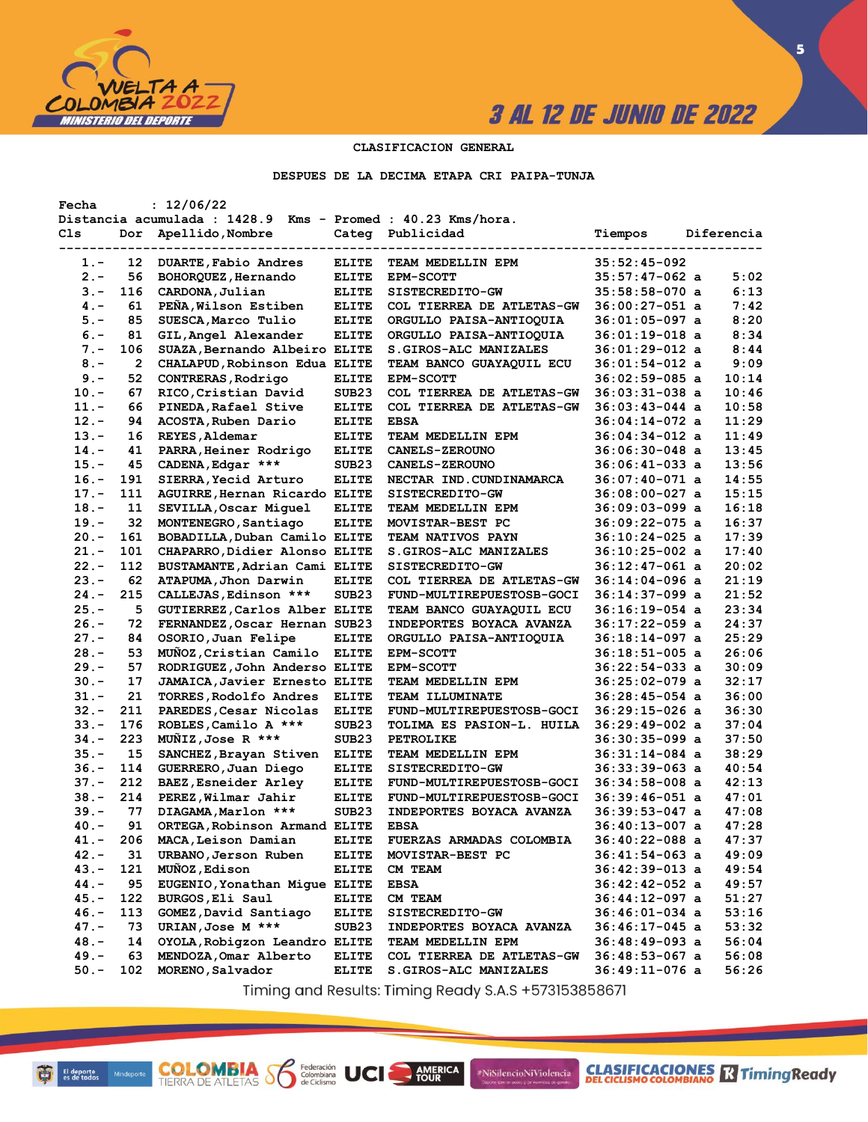

**5**

### **CLASIFICACION GENERAL**

**DESPUES DE LA DECIMA ETAPA CRI PAIPA-TUNJA**

| Distancia acumulada : 1428.9 Kms - Promed : 40.23 Kms/hora.<br>Apellido, Nombre<br>Publicidad<br>Cls<br>Categ<br>Tiempos<br>Diferencia<br>Dor<br>$35:52:45-092$<br>12<br>DUARTE, Fabio Andres<br><b>ELITE</b><br>$1. -$<br>TEAM MEDELLIN EPM<br>$2 -$<br>56<br>BOHORQUEZ, Hernando<br><b>ELITE</b><br><b>EPM-SCOTT</b><br>$35:57:47-062$ a<br>5:02<br>6:13<br>$3 -$<br>116<br>CARDONA, Julian<br><b>ELITE</b><br>$35:58:58-070$ a<br>SISTECREDITO-GW<br>PEÑA, Wilson Estiben<br>7:42<br>$4. -$<br>61<br><b>ELITE</b><br>COL TIERREA DE ATLETAS-GW<br>$36:00:27-051$ a<br>85<br>SUESCA, Marco Tulio<br>8:20<br>$5. -$<br><b>ELITE</b><br>36:01:05-097 a<br>ORGULLO PAISA-ANTIOQUIA<br>$6. -$<br>81<br>8:34<br>GIL, Angel Alexander<br><b>ELITE</b><br>ORGULLO PAISA-ANTIOQUIA<br>36:01:19-018 a<br>106<br>8:44<br>$7 -$<br>SUAZA, Bernando Albeiro ELITE<br>36:01:29-012 a<br><b>S.GIROS-ALC MANIZALES</b><br>CHALAPUD, Robinson Edua ELITE<br>9:09<br>$8 -$<br>2<br>36:01:54-012 a<br><b>TEAM BANCO GUAYAQUIL ECU</b><br>52<br>10:14<br>$9 -$<br>CONTRERAS, Rodrigo<br><b>ELITE</b><br><b>EPM-SCOTT</b><br>$36:02:59-085$ a<br>10:46<br>$10. -$<br>67<br>RICO, Cristian David<br>SUB <sub>23</sub><br>COL TIERREA DE ATLETAS-GW<br>$36:03:31-038$ a<br>10:58<br>$11. -$<br>66<br>PINEDA, Rafael Stive<br><b>ELITE</b><br>COL TIERREA DE ATLETAS-GW<br>$36:03:43-044$ a<br>$12 -$<br>11:29<br>94<br>ACOSTA, Ruben Dario<br><b>ELITE</b><br><b>EBSA</b><br>$36:04:14-072$ a<br>11:49<br>$13 -$<br>16<br>REYES, Aldemar<br><b>ELITE</b><br>TEAM MEDELLIN EPM<br>36:04:34-012 a<br>13:45<br>$14. -$<br>41<br>PARRA, Heiner Rodrigo<br><b>ELITE</b><br><b>CANELS-ZEROUNO</b><br>36:06:30-048 a<br>13:56<br>CADENA, Edgar ***<br>SUB <sub>23</sub><br>$15. -$<br>45<br>$36:06:41-033$ a<br><b>CANELS-ZEROUNO</b><br>14:55<br>$16. -$<br>191<br>SIERRA, Yecid Arturo<br><b>ELITE</b><br>36:07:40-071 a<br>NECTAR IND. CUNDINAMARCA<br>15:15<br>111<br>AGUIRRE, Hernan Ricardo ELITE<br>$17. -$<br>$36:08:00-027$ a<br><b>SISTECREDITO-GW</b><br>11<br><b>ELITE</b><br>16:18<br>$18. -$<br>SEVILLA, Oscar Miquel<br>36:09:03-099 a<br>TEAM MEDELLIN EPM<br>32<br>16:37<br>$19. -$<br>MONTENEGRO, Santiago<br><b>ELITE</b><br>MOVISTAR-BEST PC<br>36:09:22-075 a<br>17:39<br>161<br>BOBADILLA, Duban Camilo ELITE<br>$20 -$<br>TEAM NATIVOS PAYN<br>$36:10:24-025$ a<br>17:40<br>$21. -$<br>101<br>CHAPARRO, Didier Alonso ELITE<br>S.GIROS-ALC MANIZALES<br>$36:10:25-002$ a<br>20:02<br>$22 -$<br>112<br>BUSTAMANTE, Adrian Cami ELITE<br>SISTECREDITO-GW<br>$36:12:47-061$ a<br>62<br>21:19<br>$23 -$<br>ATAPUMA, Jhon Darwin<br><b>ELITE</b><br>COL TIERREA DE ATLETAS-GW<br>36:14:04-096 a<br>21:52<br>$24. -$<br>215<br>CALLEJAS, Edinson ***<br>SUB <sub>23</sub><br>FUND-MULTIREPUESTOSB-GOCI<br>36:14:37-099 a<br>23:34<br>$25. -$<br>5<br>GUTIERREZ, Carlos Alber ELITE<br>TEAM BANCO GUAYAQUIL ECU<br>36:16:19-054 a<br>24:37<br>$26. -$<br>72<br>FERNANDEZ, Oscar Hernan SUB23<br>INDEPORTES BOYACA AVANZA<br>36:17:22-059 a<br>25:29<br>$27. -$<br>OSORIO, Juan Felipe<br>84<br><b>ELITE</b><br>36:18:14-097 a<br>ORGULLO PAISA-ANTIOQUIA<br>26:06<br>$28 -$<br>53<br>MUÑOZ, Cristian Camilo<br><b>ELITE</b><br>36:18:51-005 a<br><b>EPM-SCOTT</b><br>30:09<br>$29. -$<br>57<br>RODRIGUEZ, John Anderso ELITE<br><b>EPM-SCOTT</b><br>$36:22:54-033$ a<br>32:17<br>$30 -$<br>17<br><b>JAMAICA, Javier Ernesto ELITE</b><br>$36:25:02-079$ a<br>TEAM MEDELLIN EPM<br>21<br>36:00<br>31.-<br>TORRES, Rodolfo Andres<br><b>ELITE</b><br>$36:28:45-054$ a<br><b>TEAM ILLUMINATE</b><br>$32 -$<br>211<br>36:30<br>PAREDES, Cesar Nicolas<br><b>ELITE</b><br>36:29:15-026 a<br>FUND-MULTIREPUESTOSB-GOCI<br>$33 -$<br>176<br>37:04<br>ROBLES, Camilo A ***<br>SUB <sub>23</sub><br>TOLIMA ES PASION-L. HUILA<br>36:29:49-002 a<br>223<br>37:50<br>$34. -$<br>MUNIZ, Jose R ***<br>SUB <sub>23</sub><br><b>PETROLIKE</b><br>36:30:35-099 a<br>15<br>38:29<br>$35. -$<br>SANCHEZ, Brayan Stiven<br><b>ELITE</b><br>TEAM MEDELLIN EPM<br>36:31:14-084 a<br>$36. -$<br>114<br>40:54<br>GUERRERO, Juan Diego<br><b>ELITE</b><br>$36:33:39-063$ a<br>SISTECREDITO-GW<br>42:13<br>$37. -$<br>212<br>BAEZ, Esneider Arley<br><b>ELITE</b><br>$36:34:58-008$ a<br>FUND-MULTIREPUESTOSB-GOCI<br>$38 -$<br>214<br>47:01<br>PEREZ, Wilmar Jahir<br><b>ELITE</b><br>36:39:46-051 a<br>FUND-MULTIREPUESTOSB-GOCI<br>77<br>47:08<br>39.-<br>DIAGAMA, Marlon ***<br>SUB <sub>23</sub><br>INDEPORTES BOYACA AVANZA<br>36:39:53-047 a<br>91<br>47:28<br>40.-<br>ORTEGA, Robinson Armand ELITE<br><b>EBSA</b><br>36:40:13-007 a<br>MACA, Leison Damian<br>36:40:22-088 a<br>47:37<br>41.-<br>206<br><b>ELITE</b><br><b>FUERZAS ARMADAS COLOMBIA</b><br>31<br>URBANO, Jerson Ruben<br>49:09<br>$42 -$<br>$36:41:54-063$ a<br><b>ELITE</b><br>MOVISTAR-BEST PC<br>121<br>$43. -$<br>MUÑOZ, Edison<br><b>ELITE</b><br>$36:42:39-013$ a<br>49:54<br>CM TEAM<br>44.-<br>95<br>EUGENIO, Yonathan Migue ELITE<br>49:57<br><b>EBSA</b><br>$36:42:42-052$ a<br>122<br>BURGOS, Eli Saul<br>$36:44:12-097$ a<br>$45. -$<br><b>ELITE</b><br>CM TEAM<br>51:27<br>$46. -$<br>113<br>GOMEZ, David Santiago<br>$36:46:01-034$ a<br>53:16<br><b>ELITE</b><br>SISTECREDITO-GW<br>$47. -$<br>73<br>URIAN, Jose M ***<br>53:32<br>SUB <sub>23</sub><br>36:46:17-045 a<br>INDEPORTES BOYACA AVANZA<br>$48. -$<br>56:04<br>14<br>OYOLA, Robigzon Leandro ELITE<br>TEAM MEDELLIN EPM<br>$36:48:49-093$ a<br>$49. -$<br>63<br>MENDOZA, Omar Alberto<br>$36:48:53-067$ a<br>56:08<br>ELITE<br>COL TIERREA DE ATLETAS-GW<br>$50. -$<br>102<br>MORENO, Salvador<br>$36:49:11-076$ a<br>56:26<br><b>ELITE</b><br>S.GIROS-ALC MANIZALES | Fecha | : 12/06/22 |  |  |  |
|--------------------------------------------------------------------------------------------------------------------------------------------------------------------------------------------------------------------------------------------------------------------------------------------------------------------------------------------------------------------------------------------------------------------------------------------------------------------------------------------------------------------------------------------------------------------------------------------------------------------------------------------------------------------------------------------------------------------------------------------------------------------------------------------------------------------------------------------------------------------------------------------------------------------------------------------------------------------------------------------------------------------------------------------------------------------------------------------------------------------------------------------------------------------------------------------------------------------------------------------------------------------------------------------------------------------------------------------------------------------------------------------------------------------------------------------------------------------------------------------------------------------------------------------------------------------------------------------------------------------------------------------------------------------------------------------------------------------------------------------------------------------------------------------------------------------------------------------------------------------------------------------------------------------------------------------------------------------------------------------------------------------------------------------------------------------------------------------------------------------------------------------------------------------------------------------------------------------------------------------------------------------------------------------------------------------------------------------------------------------------------------------------------------------------------------------------------------------------------------------------------------------------------------------------------------------------------------------------------------------------------------------------------------------------------------------------------------------------------------------------------------------------------------------------------------------------------------------------------------------------------------------------------------------------------------------------------------------------------------------------------------------------------------------------------------------------------------------------------------------------------------------------------------------------------------------------------------------------------------------------------------------------------------------------------------------------------------------------------------------------------------------------------------------------------------------------------------------------------------------------------------------------------------------------------------------------------------------------------------------------------------------------------------------------------------------------------------------------------------------------------------------------------------------------------------------------------------------------------------------------------------------------------------------------------------------------------------------------------------------------------------------------------------------------------------------------------------------------------------------------------------------------------------------------------------------------------------------------------------------------------------------------------------------------------------------------------------------------------------------------------------------------------------------------------------------------------------------------------------------------------------------------------------------------------------------------------------------------------------------------------------------------------------------------------------------------------------------------------------------------------------------------------------------------------------------------------------------------------------------------------------------------------------------------------------------------------------------------------------------------------------------------------------------------------------------------------------------------------------------------------------------------------------------------------------------------------------------------------------------------------------------------------------------------------------------------------------------------------------------------------------------------------------------------------------------------------------------------------------------------------------------------------------------------------------------------------------------------------------------------------------------------------------------------------------|-------|------------|--|--|--|
|                                                                                                                                                                                                                                                                                                                                                                                                                                                                                                                                                                                                                                                                                                                                                                                                                                                                                                                                                                                                                                                                                                                                                                                                                                                                                                                                                                                                                                                                                                                                                                                                                                                                                                                                                                                                                                                                                                                                                                                                                                                                                                                                                                                                                                                                                                                                                                                                                                                                                                                                                                                                                                                                                                                                                                                                                                                                                                                                                                                                                                                                                                                                                                                                                                                                                                                                                                                                                                                                                                                                                                                                                                                                                                                                                                                                                                                                                                                                                                                                                                                                                                                                                                                                                                                                                                                                                                                                                                                                                                                                                                                                                                                                                                                                                                                                                                                                                                                                                                                                                                                                                                                                                                                                                                                                                                                                                                                                                                                                                                                                                                                                                                                                                      |       |            |  |  |  |
|                                                                                                                                                                                                                                                                                                                                                                                                                                                                                                                                                                                                                                                                                                                                                                                                                                                                                                                                                                                                                                                                                                                                                                                                                                                                                                                                                                                                                                                                                                                                                                                                                                                                                                                                                                                                                                                                                                                                                                                                                                                                                                                                                                                                                                                                                                                                                                                                                                                                                                                                                                                                                                                                                                                                                                                                                                                                                                                                                                                                                                                                                                                                                                                                                                                                                                                                                                                                                                                                                                                                                                                                                                                                                                                                                                                                                                                                                                                                                                                                                                                                                                                                                                                                                                                                                                                                                                                                                                                                                                                                                                                                                                                                                                                                                                                                                                                                                                                                                                                                                                                                                                                                                                                                                                                                                                                                                                                                                                                                                                                                                                                                                                                                                      |       |            |  |  |  |
|                                                                                                                                                                                                                                                                                                                                                                                                                                                                                                                                                                                                                                                                                                                                                                                                                                                                                                                                                                                                                                                                                                                                                                                                                                                                                                                                                                                                                                                                                                                                                                                                                                                                                                                                                                                                                                                                                                                                                                                                                                                                                                                                                                                                                                                                                                                                                                                                                                                                                                                                                                                                                                                                                                                                                                                                                                                                                                                                                                                                                                                                                                                                                                                                                                                                                                                                                                                                                                                                                                                                                                                                                                                                                                                                                                                                                                                                                                                                                                                                                                                                                                                                                                                                                                                                                                                                                                                                                                                                                                                                                                                                                                                                                                                                                                                                                                                                                                                                                                                                                                                                                                                                                                                                                                                                                                                                                                                                                                                                                                                                                                                                                                                                                      |       |            |  |  |  |
|                                                                                                                                                                                                                                                                                                                                                                                                                                                                                                                                                                                                                                                                                                                                                                                                                                                                                                                                                                                                                                                                                                                                                                                                                                                                                                                                                                                                                                                                                                                                                                                                                                                                                                                                                                                                                                                                                                                                                                                                                                                                                                                                                                                                                                                                                                                                                                                                                                                                                                                                                                                                                                                                                                                                                                                                                                                                                                                                                                                                                                                                                                                                                                                                                                                                                                                                                                                                                                                                                                                                                                                                                                                                                                                                                                                                                                                                                                                                                                                                                                                                                                                                                                                                                                                                                                                                                                                                                                                                                                                                                                                                                                                                                                                                                                                                                                                                                                                                                                                                                                                                                                                                                                                                                                                                                                                                                                                                                                                                                                                                                                                                                                                                                      |       |            |  |  |  |
|                                                                                                                                                                                                                                                                                                                                                                                                                                                                                                                                                                                                                                                                                                                                                                                                                                                                                                                                                                                                                                                                                                                                                                                                                                                                                                                                                                                                                                                                                                                                                                                                                                                                                                                                                                                                                                                                                                                                                                                                                                                                                                                                                                                                                                                                                                                                                                                                                                                                                                                                                                                                                                                                                                                                                                                                                                                                                                                                                                                                                                                                                                                                                                                                                                                                                                                                                                                                                                                                                                                                                                                                                                                                                                                                                                                                                                                                                                                                                                                                                                                                                                                                                                                                                                                                                                                                                                                                                                                                                                                                                                                                                                                                                                                                                                                                                                                                                                                                                                                                                                                                                                                                                                                                                                                                                                                                                                                                                                                                                                                                                                                                                                                                                      |       |            |  |  |  |
|                                                                                                                                                                                                                                                                                                                                                                                                                                                                                                                                                                                                                                                                                                                                                                                                                                                                                                                                                                                                                                                                                                                                                                                                                                                                                                                                                                                                                                                                                                                                                                                                                                                                                                                                                                                                                                                                                                                                                                                                                                                                                                                                                                                                                                                                                                                                                                                                                                                                                                                                                                                                                                                                                                                                                                                                                                                                                                                                                                                                                                                                                                                                                                                                                                                                                                                                                                                                                                                                                                                                                                                                                                                                                                                                                                                                                                                                                                                                                                                                                                                                                                                                                                                                                                                                                                                                                                                                                                                                                                                                                                                                                                                                                                                                                                                                                                                                                                                                                                                                                                                                                                                                                                                                                                                                                                                                                                                                                                                                                                                                                                                                                                                                                      |       |            |  |  |  |
|                                                                                                                                                                                                                                                                                                                                                                                                                                                                                                                                                                                                                                                                                                                                                                                                                                                                                                                                                                                                                                                                                                                                                                                                                                                                                                                                                                                                                                                                                                                                                                                                                                                                                                                                                                                                                                                                                                                                                                                                                                                                                                                                                                                                                                                                                                                                                                                                                                                                                                                                                                                                                                                                                                                                                                                                                                                                                                                                                                                                                                                                                                                                                                                                                                                                                                                                                                                                                                                                                                                                                                                                                                                                                                                                                                                                                                                                                                                                                                                                                                                                                                                                                                                                                                                                                                                                                                                                                                                                                                                                                                                                                                                                                                                                                                                                                                                                                                                                                                                                                                                                                                                                                                                                                                                                                                                                                                                                                                                                                                                                                                                                                                                                                      |       |            |  |  |  |
|                                                                                                                                                                                                                                                                                                                                                                                                                                                                                                                                                                                                                                                                                                                                                                                                                                                                                                                                                                                                                                                                                                                                                                                                                                                                                                                                                                                                                                                                                                                                                                                                                                                                                                                                                                                                                                                                                                                                                                                                                                                                                                                                                                                                                                                                                                                                                                                                                                                                                                                                                                                                                                                                                                                                                                                                                                                                                                                                                                                                                                                                                                                                                                                                                                                                                                                                                                                                                                                                                                                                                                                                                                                                                                                                                                                                                                                                                                                                                                                                                                                                                                                                                                                                                                                                                                                                                                                                                                                                                                                                                                                                                                                                                                                                                                                                                                                                                                                                                                                                                                                                                                                                                                                                                                                                                                                                                                                                                                                                                                                                                                                                                                                                                      |       |            |  |  |  |
|                                                                                                                                                                                                                                                                                                                                                                                                                                                                                                                                                                                                                                                                                                                                                                                                                                                                                                                                                                                                                                                                                                                                                                                                                                                                                                                                                                                                                                                                                                                                                                                                                                                                                                                                                                                                                                                                                                                                                                                                                                                                                                                                                                                                                                                                                                                                                                                                                                                                                                                                                                                                                                                                                                                                                                                                                                                                                                                                                                                                                                                                                                                                                                                                                                                                                                                                                                                                                                                                                                                                                                                                                                                                                                                                                                                                                                                                                                                                                                                                                                                                                                                                                                                                                                                                                                                                                                                                                                                                                                                                                                                                                                                                                                                                                                                                                                                                                                                                                                                                                                                                                                                                                                                                                                                                                                                                                                                                                                                                                                                                                                                                                                                                                      |       |            |  |  |  |
|                                                                                                                                                                                                                                                                                                                                                                                                                                                                                                                                                                                                                                                                                                                                                                                                                                                                                                                                                                                                                                                                                                                                                                                                                                                                                                                                                                                                                                                                                                                                                                                                                                                                                                                                                                                                                                                                                                                                                                                                                                                                                                                                                                                                                                                                                                                                                                                                                                                                                                                                                                                                                                                                                                                                                                                                                                                                                                                                                                                                                                                                                                                                                                                                                                                                                                                                                                                                                                                                                                                                                                                                                                                                                                                                                                                                                                                                                                                                                                                                                                                                                                                                                                                                                                                                                                                                                                                                                                                                                                                                                                                                                                                                                                                                                                                                                                                                                                                                                                                                                                                                                                                                                                                                                                                                                                                                                                                                                                                                                                                                                                                                                                                                                      |       |            |  |  |  |
|                                                                                                                                                                                                                                                                                                                                                                                                                                                                                                                                                                                                                                                                                                                                                                                                                                                                                                                                                                                                                                                                                                                                                                                                                                                                                                                                                                                                                                                                                                                                                                                                                                                                                                                                                                                                                                                                                                                                                                                                                                                                                                                                                                                                                                                                                                                                                                                                                                                                                                                                                                                                                                                                                                                                                                                                                                                                                                                                                                                                                                                                                                                                                                                                                                                                                                                                                                                                                                                                                                                                                                                                                                                                                                                                                                                                                                                                                                                                                                                                                                                                                                                                                                                                                                                                                                                                                                                                                                                                                                                                                                                                                                                                                                                                                                                                                                                                                                                                                                                                                                                                                                                                                                                                                                                                                                                                                                                                                                                                                                                                                                                                                                                                                      |       |            |  |  |  |
|                                                                                                                                                                                                                                                                                                                                                                                                                                                                                                                                                                                                                                                                                                                                                                                                                                                                                                                                                                                                                                                                                                                                                                                                                                                                                                                                                                                                                                                                                                                                                                                                                                                                                                                                                                                                                                                                                                                                                                                                                                                                                                                                                                                                                                                                                                                                                                                                                                                                                                                                                                                                                                                                                                                                                                                                                                                                                                                                                                                                                                                                                                                                                                                                                                                                                                                                                                                                                                                                                                                                                                                                                                                                                                                                                                                                                                                                                                                                                                                                                                                                                                                                                                                                                                                                                                                                                                                                                                                                                                                                                                                                                                                                                                                                                                                                                                                                                                                                                                                                                                                                                                                                                                                                                                                                                                                                                                                                                                                                                                                                                                                                                                                                                      |       |            |  |  |  |
|                                                                                                                                                                                                                                                                                                                                                                                                                                                                                                                                                                                                                                                                                                                                                                                                                                                                                                                                                                                                                                                                                                                                                                                                                                                                                                                                                                                                                                                                                                                                                                                                                                                                                                                                                                                                                                                                                                                                                                                                                                                                                                                                                                                                                                                                                                                                                                                                                                                                                                                                                                                                                                                                                                                                                                                                                                                                                                                                                                                                                                                                                                                                                                                                                                                                                                                                                                                                                                                                                                                                                                                                                                                                                                                                                                                                                                                                                                                                                                                                                                                                                                                                                                                                                                                                                                                                                                                                                                                                                                                                                                                                                                                                                                                                                                                                                                                                                                                                                                                                                                                                                                                                                                                                                                                                                                                                                                                                                                                                                                                                                                                                                                                                                      |       |            |  |  |  |
|                                                                                                                                                                                                                                                                                                                                                                                                                                                                                                                                                                                                                                                                                                                                                                                                                                                                                                                                                                                                                                                                                                                                                                                                                                                                                                                                                                                                                                                                                                                                                                                                                                                                                                                                                                                                                                                                                                                                                                                                                                                                                                                                                                                                                                                                                                                                                                                                                                                                                                                                                                                                                                                                                                                                                                                                                                                                                                                                                                                                                                                                                                                                                                                                                                                                                                                                                                                                                                                                                                                                                                                                                                                                                                                                                                                                                                                                                                                                                                                                                                                                                                                                                                                                                                                                                                                                                                                                                                                                                                                                                                                                                                                                                                                                                                                                                                                                                                                                                                                                                                                                                                                                                                                                                                                                                                                                                                                                                                                                                                                                                                                                                                                                                      |       |            |  |  |  |
|                                                                                                                                                                                                                                                                                                                                                                                                                                                                                                                                                                                                                                                                                                                                                                                                                                                                                                                                                                                                                                                                                                                                                                                                                                                                                                                                                                                                                                                                                                                                                                                                                                                                                                                                                                                                                                                                                                                                                                                                                                                                                                                                                                                                                                                                                                                                                                                                                                                                                                                                                                                                                                                                                                                                                                                                                                                                                                                                                                                                                                                                                                                                                                                                                                                                                                                                                                                                                                                                                                                                                                                                                                                                                                                                                                                                                                                                                                                                                                                                                                                                                                                                                                                                                                                                                                                                                                                                                                                                                                                                                                                                                                                                                                                                                                                                                                                                                                                                                                                                                                                                                                                                                                                                                                                                                                                                                                                                                                                                                                                                                                                                                                                                                      |       |            |  |  |  |
|                                                                                                                                                                                                                                                                                                                                                                                                                                                                                                                                                                                                                                                                                                                                                                                                                                                                                                                                                                                                                                                                                                                                                                                                                                                                                                                                                                                                                                                                                                                                                                                                                                                                                                                                                                                                                                                                                                                                                                                                                                                                                                                                                                                                                                                                                                                                                                                                                                                                                                                                                                                                                                                                                                                                                                                                                                                                                                                                                                                                                                                                                                                                                                                                                                                                                                                                                                                                                                                                                                                                                                                                                                                                                                                                                                                                                                                                                                                                                                                                                                                                                                                                                                                                                                                                                                                                                                                                                                                                                                                                                                                                                                                                                                                                                                                                                                                                                                                                                                                                                                                                                                                                                                                                                                                                                                                                                                                                                                                                                                                                                                                                                                                                                      |       |            |  |  |  |
|                                                                                                                                                                                                                                                                                                                                                                                                                                                                                                                                                                                                                                                                                                                                                                                                                                                                                                                                                                                                                                                                                                                                                                                                                                                                                                                                                                                                                                                                                                                                                                                                                                                                                                                                                                                                                                                                                                                                                                                                                                                                                                                                                                                                                                                                                                                                                                                                                                                                                                                                                                                                                                                                                                                                                                                                                                                                                                                                                                                                                                                                                                                                                                                                                                                                                                                                                                                                                                                                                                                                                                                                                                                                                                                                                                                                                                                                                                                                                                                                                                                                                                                                                                                                                                                                                                                                                                                                                                                                                                                                                                                                                                                                                                                                                                                                                                                                                                                                                                                                                                                                                                                                                                                                                                                                                                                                                                                                                                                                                                                                                                                                                                                                                      |       |            |  |  |  |
|                                                                                                                                                                                                                                                                                                                                                                                                                                                                                                                                                                                                                                                                                                                                                                                                                                                                                                                                                                                                                                                                                                                                                                                                                                                                                                                                                                                                                                                                                                                                                                                                                                                                                                                                                                                                                                                                                                                                                                                                                                                                                                                                                                                                                                                                                                                                                                                                                                                                                                                                                                                                                                                                                                                                                                                                                                                                                                                                                                                                                                                                                                                                                                                                                                                                                                                                                                                                                                                                                                                                                                                                                                                                                                                                                                                                                                                                                                                                                                                                                                                                                                                                                                                                                                                                                                                                                                                                                                                                                                                                                                                                                                                                                                                                                                                                                                                                                                                                                                                                                                                                                                                                                                                                                                                                                                                                                                                                                                                                                                                                                                                                                                                                                      |       |            |  |  |  |
|                                                                                                                                                                                                                                                                                                                                                                                                                                                                                                                                                                                                                                                                                                                                                                                                                                                                                                                                                                                                                                                                                                                                                                                                                                                                                                                                                                                                                                                                                                                                                                                                                                                                                                                                                                                                                                                                                                                                                                                                                                                                                                                                                                                                                                                                                                                                                                                                                                                                                                                                                                                                                                                                                                                                                                                                                                                                                                                                                                                                                                                                                                                                                                                                                                                                                                                                                                                                                                                                                                                                                                                                                                                                                                                                                                                                                                                                                                                                                                                                                                                                                                                                                                                                                                                                                                                                                                                                                                                                                                                                                                                                                                                                                                                                                                                                                                                                                                                                                                                                                                                                                                                                                                                                                                                                                                                                                                                                                                                                                                                                                                                                                                                                                      |       |            |  |  |  |
|                                                                                                                                                                                                                                                                                                                                                                                                                                                                                                                                                                                                                                                                                                                                                                                                                                                                                                                                                                                                                                                                                                                                                                                                                                                                                                                                                                                                                                                                                                                                                                                                                                                                                                                                                                                                                                                                                                                                                                                                                                                                                                                                                                                                                                                                                                                                                                                                                                                                                                                                                                                                                                                                                                                                                                                                                                                                                                                                                                                                                                                                                                                                                                                                                                                                                                                                                                                                                                                                                                                                                                                                                                                                                                                                                                                                                                                                                                                                                                                                                                                                                                                                                                                                                                                                                                                                                                                                                                                                                                                                                                                                                                                                                                                                                                                                                                                                                                                                                                                                                                                                                                                                                                                                                                                                                                                                                                                                                                                                                                                                                                                                                                                                                      |       |            |  |  |  |
|                                                                                                                                                                                                                                                                                                                                                                                                                                                                                                                                                                                                                                                                                                                                                                                                                                                                                                                                                                                                                                                                                                                                                                                                                                                                                                                                                                                                                                                                                                                                                                                                                                                                                                                                                                                                                                                                                                                                                                                                                                                                                                                                                                                                                                                                                                                                                                                                                                                                                                                                                                                                                                                                                                                                                                                                                                                                                                                                                                                                                                                                                                                                                                                                                                                                                                                                                                                                                                                                                                                                                                                                                                                                                                                                                                                                                                                                                                                                                                                                                                                                                                                                                                                                                                                                                                                                                                                                                                                                                                                                                                                                                                                                                                                                                                                                                                                                                                                                                                                                                                                                                                                                                                                                                                                                                                                                                                                                                                                                                                                                                                                                                                                                                      |       |            |  |  |  |
|                                                                                                                                                                                                                                                                                                                                                                                                                                                                                                                                                                                                                                                                                                                                                                                                                                                                                                                                                                                                                                                                                                                                                                                                                                                                                                                                                                                                                                                                                                                                                                                                                                                                                                                                                                                                                                                                                                                                                                                                                                                                                                                                                                                                                                                                                                                                                                                                                                                                                                                                                                                                                                                                                                                                                                                                                                                                                                                                                                                                                                                                                                                                                                                                                                                                                                                                                                                                                                                                                                                                                                                                                                                                                                                                                                                                                                                                                                                                                                                                                                                                                                                                                                                                                                                                                                                                                                                                                                                                                                                                                                                                                                                                                                                                                                                                                                                                                                                                                                                                                                                                                                                                                                                                                                                                                                                                                                                                                                                                                                                                                                                                                                                                                      |       |            |  |  |  |
|                                                                                                                                                                                                                                                                                                                                                                                                                                                                                                                                                                                                                                                                                                                                                                                                                                                                                                                                                                                                                                                                                                                                                                                                                                                                                                                                                                                                                                                                                                                                                                                                                                                                                                                                                                                                                                                                                                                                                                                                                                                                                                                                                                                                                                                                                                                                                                                                                                                                                                                                                                                                                                                                                                                                                                                                                                                                                                                                                                                                                                                                                                                                                                                                                                                                                                                                                                                                                                                                                                                                                                                                                                                                                                                                                                                                                                                                                                                                                                                                                                                                                                                                                                                                                                                                                                                                                                                                                                                                                                                                                                                                                                                                                                                                                                                                                                                                                                                                                                                                                                                                                                                                                                                                                                                                                                                                                                                                                                                                                                                                                                                                                                                                                      |       |            |  |  |  |
|                                                                                                                                                                                                                                                                                                                                                                                                                                                                                                                                                                                                                                                                                                                                                                                                                                                                                                                                                                                                                                                                                                                                                                                                                                                                                                                                                                                                                                                                                                                                                                                                                                                                                                                                                                                                                                                                                                                                                                                                                                                                                                                                                                                                                                                                                                                                                                                                                                                                                                                                                                                                                                                                                                                                                                                                                                                                                                                                                                                                                                                                                                                                                                                                                                                                                                                                                                                                                                                                                                                                                                                                                                                                                                                                                                                                                                                                                                                                                                                                                                                                                                                                                                                                                                                                                                                                                                                                                                                                                                                                                                                                                                                                                                                                                                                                                                                                                                                                                                                                                                                                                                                                                                                                                                                                                                                                                                                                                                                                                                                                                                                                                                                                                      |       |            |  |  |  |
|                                                                                                                                                                                                                                                                                                                                                                                                                                                                                                                                                                                                                                                                                                                                                                                                                                                                                                                                                                                                                                                                                                                                                                                                                                                                                                                                                                                                                                                                                                                                                                                                                                                                                                                                                                                                                                                                                                                                                                                                                                                                                                                                                                                                                                                                                                                                                                                                                                                                                                                                                                                                                                                                                                                                                                                                                                                                                                                                                                                                                                                                                                                                                                                                                                                                                                                                                                                                                                                                                                                                                                                                                                                                                                                                                                                                                                                                                                                                                                                                                                                                                                                                                                                                                                                                                                                                                                                                                                                                                                                                                                                                                                                                                                                                                                                                                                                                                                                                                                                                                                                                                                                                                                                                                                                                                                                                                                                                                                                                                                                                                                                                                                                                                      |       |            |  |  |  |
|                                                                                                                                                                                                                                                                                                                                                                                                                                                                                                                                                                                                                                                                                                                                                                                                                                                                                                                                                                                                                                                                                                                                                                                                                                                                                                                                                                                                                                                                                                                                                                                                                                                                                                                                                                                                                                                                                                                                                                                                                                                                                                                                                                                                                                                                                                                                                                                                                                                                                                                                                                                                                                                                                                                                                                                                                                                                                                                                                                                                                                                                                                                                                                                                                                                                                                                                                                                                                                                                                                                                                                                                                                                                                                                                                                                                                                                                                                                                                                                                                                                                                                                                                                                                                                                                                                                                                                                                                                                                                                                                                                                                                                                                                                                                                                                                                                                                                                                                                                                                                                                                                                                                                                                                                                                                                                                                                                                                                                                                                                                                                                                                                                                                                      |       |            |  |  |  |
|                                                                                                                                                                                                                                                                                                                                                                                                                                                                                                                                                                                                                                                                                                                                                                                                                                                                                                                                                                                                                                                                                                                                                                                                                                                                                                                                                                                                                                                                                                                                                                                                                                                                                                                                                                                                                                                                                                                                                                                                                                                                                                                                                                                                                                                                                                                                                                                                                                                                                                                                                                                                                                                                                                                                                                                                                                                                                                                                                                                                                                                                                                                                                                                                                                                                                                                                                                                                                                                                                                                                                                                                                                                                                                                                                                                                                                                                                                                                                                                                                                                                                                                                                                                                                                                                                                                                                                                                                                                                                                                                                                                                                                                                                                                                                                                                                                                                                                                                                                                                                                                                                                                                                                                                                                                                                                                                                                                                                                                                                                                                                                                                                                                                                      |       |            |  |  |  |
|                                                                                                                                                                                                                                                                                                                                                                                                                                                                                                                                                                                                                                                                                                                                                                                                                                                                                                                                                                                                                                                                                                                                                                                                                                                                                                                                                                                                                                                                                                                                                                                                                                                                                                                                                                                                                                                                                                                                                                                                                                                                                                                                                                                                                                                                                                                                                                                                                                                                                                                                                                                                                                                                                                                                                                                                                                                                                                                                                                                                                                                                                                                                                                                                                                                                                                                                                                                                                                                                                                                                                                                                                                                                                                                                                                                                                                                                                                                                                                                                                                                                                                                                                                                                                                                                                                                                                                                                                                                                                                                                                                                                                                                                                                                                                                                                                                                                                                                                                                                                                                                                                                                                                                                                                                                                                                                                                                                                                                                                                                                                                                                                                                                                                      |       |            |  |  |  |
|                                                                                                                                                                                                                                                                                                                                                                                                                                                                                                                                                                                                                                                                                                                                                                                                                                                                                                                                                                                                                                                                                                                                                                                                                                                                                                                                                                                                                                                                                                                                                                                                                                                                                                                                                                                                                                                                                                                                                                                                                                                                                                                                                                                                                                                                                                                                                                                                                                                                                                                                                                                                                                                                                                                                                                                                                                                                                                                                                                                                                                                                                                                                                                                                                                                                                                                                                                                                                                                                                                                                                                                                                                                                                                                                                                                                                                                                                                                                                                                                                                                                                                                                                                                                                                                                                                                                                                                                                                                                                                                                                                                                                                                                                                                                                                                                                                                                                                                                                                                                                                                                                                                                                                                                                                                                                                                                                                                                                                                                                                                                                                                                                                                                                      |       |            |  |  |  |
|                                                                                                                                                                                                                                                                                                                                                                                                                                                                                                                                                                                                                                                                                                                                                                                                                                                                                                                                                                                                                                                                                                                                                                                                                                                                                                                                                                                                                                                                                                                                                                                                                                                                                                                                                                                                                                                                                                                                                                                                                                                                                                                                                                                                                                                                                                                                                                                                                                                                                                                                                                                                                                                                                                                                                                                                                                                                                                                                                                                                                                                                                                                                                                                                                                                                                                                                                                                                                                                                                                                                                                                                                                                                                                                                                                                                                                                                                                                                                                                                                                                                                                                                                                                                                                                                                                                                                                                                                                                                                                                                                                                                                                                                                                                                                                                                                                                                                                                                                                                                                                                                                                                                                                                                                                                                                                                                                                                                                                                                                                                                                                                                                                                                                      |       |            |  |  |  |
|                                                                                                                                                                                                                                                                                                                                                                                                                                                                                                                                                                                                                                                                                                                                                                                                                                                                                                                                                                                                                                                                                                                                                                                                                                                                                                                                                                                                                                                                                                                                                                                                                                                                                                                                                                                                                                                                                                                                                                                                                                                                                                                                                                                                                                                                                                                                                                                                                                                                                                                                                                                                                                                                                                                                                                                                                                                                                                                                                                                                                                                                                                                                                                                                                                                                                                                                                                                                                                                                                                                                                                                                                                                                                                                                                                                                                                                                                                                                                                                                                                                                                                                                                                                                                                                                                                                                                                                                                                                                                                                                                                                                                                                                                                                                                                                                                                                                                                                                                                                                                                                                                                                                                                                                                                                                                                                                                                                                                                                                                                                                                                                                                                                                                      |       |            |  |  |  |
|                                                                                                                                                                                                                                                                                                                                                                                                                                                                                                                                                                                                                                                                                                                                                                                                                                                                                                                                                                                                                                                                                                                                                                                                                                                                                                                                                                                                                                                                                                                                                                                                                                                                                                                                                                                                                                                                                                                                                                                                                                                                                                                                                                                                                                                                                                                                                                                                                                                                                                                                                                                                                                                                                                                                                                                                                                                                                                                                                                                                                                                                                                                                                                                                                                                                                                                                                                                                                                                                                                                                                                                                                                                                                                                                                                                                                                                                                                                                                                                                                                                                                                                                                                                                                                                                                                                                                                                                                                                                                                                                                                                                                                                                                                                                                                                                                                                                                                                                                                                                                                                                                                                                                                                                                                                                                                                                                                                                                                                                                                                                                                                                                                                                                      |       |            |  |  |  |
|                                                                                                                                                                                                                                                                                                                                                                                                                                                                                                                                                                                                                                                                                                                                                                                                                                                                                                                                                                                                                                                                                                                                                                                                                                                                                                                                                                                                                                                                                                                                                                                                                                                                                                                                                                                                                                                                                                                                                                                                                                                                                                                                                                                                                                                                                                                                                                                                                                                                                                                                                                                                                                                                                                                                                                                                                                                                                                                                                                                                                                                                                                                                                                                                                                                                                                                                                                                                                                                                                                                                                                                                                                                                                                                                                                                                                                                                                                                                                                                                                                                                                                                                                                                                                                                                                                                                                                                                                                                                                                                                                                                                                                                                                                                                                                                                                                                                                                                                                                                                                                                                                                                                                                                                                                                                                                                                                                                                                                                                                                                                                                                                                                                                                      |       |            |  |  |  |
|                                                                                                                                                                                                                                                                                                                                                                                                                                                                                                                                                                                                                                                                                                                                                                                                                                                                                                                                                                                                                                                                                                                                                                                                                                                                                                                                                                                                                                                                                                                                                                                                                                                                                                                                                                                                                                                                                                                                                                                                                                                                                                                                                                                                                                                                                                                                                                                                                                                                                                                                                                                                                                                                                                                                                                                                                                                                                                                                                                                                                                                                                                                                                                                                                                                                                                                                                                                                                                                                                                                                                                                                                                                                                                                                                                                                                                                                                                                                                                                                                                                                                                                                                                                                                                                                                                                                                                                                                                                                                                                                                                                                                                                                                                                                                                                                                                                                                                                                                                                                                                                                                                                                                                                                                                                                                                                                                                                                                                                                                                                                                                                                                                                                                      |       |            |  |  |  |
|                                                                                                                                                                                                                                                                                                                                                                                                                                                                                                                                                                                                                                                                                                                                                                                                                                                                                                                                                                                                                                                                                                                                                                                                                                                                                                                                                                                                                                                                                                                                                                                                                                                                                                                                                                                                                                                                                                                                                                                                                                                                                                                                                                                                                                                                                                                                                                                                                                                                                                                                                                                                                                                                                                                                                                                                                                                                                                                                                                                                                                                                                                                                                                                                                                                                                                                                                                                                                                                                                                                                                                                                                                                                                                                                                                                                                                                                                                                                                                                                                                                                                                                                                                                                                                                                                                                                                                                                                                                                                                                                                                                                                                                                                                                                                                                                                                                                                                                                                                                                                                                                                                                                                                                                                                                                                                                                                                                                                                                                                                                                                                                                                                                                                      |       |            |  |  |  |
|                                                                                                                                                                                                                                                                                                                                                                                                                                                                                                                                                                                                                                                                                                                                                                                                                                                                                                                                                                                                                                                                                                                                                                                                                                                                                                                                                                                                                                                                                                                                                                                                                                                                                                                                                                                                                                                                                                                                                                                                                                                                                                                                                                                                                                                                                                                                                                                                                                                                                                                                                                                                                                                                                                                                                                                                                                                                                                                                                                                                                                                                                                                                                                                                                                                                                                                                                                                                                                                                                                                                                                                                                                                                                                                                                                                                                                                                                                                                                                                                                                                                                                                                                                                                                                                                                                                                                                                                                                                                                                                                                                                                                                                                                                                                                                                                                                                                                                                                                                                                                                                                                                                                                                                                                                                                                                                                                                                                                                                                                                                                                                                                                                                                                      |       |            |  |  |  |
|                                                                                                                                                                                                                                                                                                                                                                                                                                                                                                                                                                                                                                                                                                                                                                                                                                                                                                                                                                                                                                                                                                                                                                                                                                                                                                                                                                                                                                                                                                                                                                                                                                                                                                                                                                                                                                                                                                                                                                                                                                                                                                                                                                                                                                                                                                                                                                                                                                                                                                                                                                                                                                                                                                                                                                                                                                                                                                                                                                                                                                                                                                                                                                                                                                                                                                                                                                                                                                                                                                                                                                                                                                                                                                                                                                                                                                                                                                                                                                                                                                                                                                                                                                                                                                                                                                                                                                                                                                                                                                                                                                                                                                                                                                                                                                                                                                                                                                                                                                                                                                                                                                                                                                                                                                                                                                                                                                                                                                                                                                                                                                                                                                                                                      |       |            |  |  |  |
|                                                                                                                                                                                                                                                                                                                                                                                                                                                                                                                                                                                                                                                                                                                                                                                                                                                                                                                                                                                                                                                                                                                                                                                                                                                                                                                                                                                                                                                                                                                                                                                                                                                                                                                                                                                                                                                                                                                                                                                                                                                                                                                                                                                                                                                                                                                                                                                                                                                                                                                                                                                                                                                                                                                                                                                                                                                                                                                                                                                                                                                                                                                                                                                                                                                                                                                                                                                                                                                                                                                                                                                                                                                                                                                                                                                                                                                                                                                                                                                                                                                                                                                                                                                                                                                                                                                                                                                                                                                                                                                                                                                                                                                                                                                                                                                                                                                                                                                                                                                                                                                                                                                                                                                                                                                                                                                                                                                                                                                                                                                                                                                                                                                                                      |       |            |  |  |  |
|                                                                                                                                                                                                                                                                                                                                                                                                                                                                                                                                                                                                                                                                                                                                                                                                                                                                                                                                                                                                                                                                                                                                                                                                                                                                                                                                                                                                                                                                                                                                                                                                                                                                                                                                                                                                                                                                                                                                                                                                                                                                                                                                                                                                                                                                                                                                                                                                                                                                                                                                                                                                                                                                                                                                                                                                                                                                                                                                                                                                                                                                                                                                                                                                                                                                                                                                                                                                                                                                                                                                                                                                                                                                                                                                                                                                                                                                                                                                                                                                                                                                                                                                                                                                                                                                                                                                                                                                                                                                                                                                                                                                                                                                                                                                                                                                                                                                                                                                                                                                                                                                                                                                                                                                                                                                                                                                                                                                                                                                                                                                                                                                                                                                                      |       |            |  |  |  |
|                                                                                                                                                                                                                                                                                                                                                                                                                                                                                                                                                                                                                                                                                                                                                                                                                                                                                                                                                                                                                                                                                                                                                                                                                                                                                                                                                                                                                                                                                                                                                                                                                                                                                                                                                                                                                                                                                                                                                                                                                                                                                                                                                                                                                                                                                                                                                                                                                                                                                                                                                                                                                                                                                                                                                                                                                                                                                                                                                                                                                                                                                                                                                                                                                                                                                                                                                                                                                                                                                                                                                                                                                                                                                                                                                                                                                                                                                                                                                                                                                                                                                                                                                                                                                                                                                                                                                                                                                                                                                                                                                                                                                                                                                                                                                                                                                                                                                                                                                                                                                                                                                                                                                                                                                                                                                                                                                                                                                                                                                                                                                                                                                                                                                      |       |            |  |  |  |
|                                                                                                                                                                                                                                                                                                                                                                                                                                                                                                                                                                                                                                                                                                                                                                                                                                                                                                                                                                                                                                                                                                                                                                                                                                                                                                                                                                                                                                                                                                                                                                                                                                                                                                                                                                                                                                                                                                                                                                                                                                                                                                                                                                                                                                                                                                                                                                                                                                                                                                                                                                                                                                                                                                                                                                                                                                                                                                                                                                                                                                                                                                                                                                                                                                                                                                                                                                                                                                                                                                                                                                                                                                                                                                                                                                                                                                                                                                                                                                                                                                                                                                                                                                                                                                                                                                                                                                                                                                                                                                                                                                                                                                                                                                                                                                                                                                                                                                                                                                                                                                                                                                                                                                                                                                                                                                                                                                                                                                                                                                                                                                                                                                                                                      |       |            |  |  |  |
|                                                                                                                                                                                                                                                                                                                                                                                                                                                                                                                                                                                                                                                                                                                                                                                                                                                                                                                                                                                                                                                                                                                                                                                                                                                                                                                                                                                                                                                                                                                                                                                                                                                                                                                                                                                                                                                                                                                                                                                                                                                                                                                                                                                                                                                                                                                                                                                                                                                                                                                                                                                                                                                                                                                                                                                                                                                                                                                                                                                                                                                                                                                                                                                                                                                                                                                                                                                                                                                                                                                                                                                                                                                                                                                                                                                                                                                                                                                                                                                                                                                                                                                                                                                                                                                                                                                                                                                                                                                                                                                                                                                                                                                                                                                                                                                                                                                                                                                                                                                                                                                                                                                                                                                                                                                                                                                                                                                                                                                                                                                                                                                                                                                                                      |       |            |  |  |  |
|                                                                                                                                                                                                                                                                                                                                                                                                                                                                                                                                                                                                                                                                                                                                                                                                                                                                                                                                                                                                                                                                                                                                                                                                                                                                                                                                                                                                                                                                                                                                                                                                                                                                                                                                                                                                                                                                                                                                                                                                                                                                                                                                                                                                                                                                                                                                                                                                                                                                                                                                                                                                                                                                                                                                                                                                                                                                                                                                                                                                                                                                                                                                                                                                                                                                                                                                                                                                                                                                                                                                                                                                                                                                                                                                                                                                                                                                                                                                                                                                                                                                                                                                                                                                                                                                                                                                                                                                                                                                                                                                                                                                                                                                                                                                                                                                                                                                                                                                                                                                                                                                                                                                                                                                                                                                                                                                                                                                                                                                                                                                                                                                                                                                                      |       |            |  |  |  |
|                                                                                                                                                                                                                                                                                                                                                                                                                                                                                                                                                                                                                                                                                                                                                                                                                                                                                                                                                                                                                                                                                                                                                                                                                                                                                                                                                                                                                                                                                                                                                                                                                                                                                                                                                                                                                                                                                                                                                                                                                                                                                                                                                                                                                                                                                                                                                                                                                                                                                                                                                                                                                                                                                                                                                                                                                                                                                                                                                                                                                                                                                                                                                                                                                                                                                                                                                                                                                                                                                                                                                                                                                                                                                                                                                                                                                                                                                                                                                                                                                                                                                                                                                                                                                                                                                                                                                                                                                                                                                                                                                                                                                                                                                                                                                                                                                                                                                                                                                                                                                                                                                                                                                                                                                                                                                                                                                                                                                                                                                                                                                                                                                                                                                      |       |            |  |  |  |
|                                                                                                                                                                                                                                                                                                                                                                                                                                                                                                                                                                                                                                                                                                                                                                                                                                                                                                                                                                                                                                                                                                                                                                                                                                                                                                                                                                                                                                                                                                                                                                                                                                                                                                                                                                                                                                                                                                                                                                                                                                                                                                                                                                                                                                                                                                                                                                                                                                                                                                                                                                                                                                                                                                                                                                                                                                                                                                                                                                                                                                                                                                                                                                                                                                                                                                                                                                                                                                                                                                                                                                                                                                                                                                                                                                                                                                                                                                                                                                                                                                                                                                                                                                                                                                                                                                                                                                                                                                                                                                                                                                                                                                                                                                                                                                                                                                                                                                                                                                                                                                                                                                                                                                                                                                                                                                                                                                                                                                                                                                                                                                                                                                                                                      |       |            |  |  |  |
|                                                                                                                                                                                                                                                                                                                                                                                                                                                                                                                                                                                                                                                                                                                                                                                                                                                                                                                                                                                                                                                                                                                                                                                                                                                                                                                                                                                                                                                                                                                                                                                                                                                                                                                                                                                                                                                                                                                                                                                                                                                                                                                                                                                                                                                                                                                                                                                                                                                                                                                                                                                                                                                                                                                                                                                                                                                                                                                                                                                                                                                                                                                                                                                                                                                                                                                                                                                                                                                                                                                                                                                                                                                                                                                                                                                                                                                                                                                                                                                                                                                                                                                                                                                                                                                                                                                                                                                                                                                                                                                                                                                                                                                                                                                                                                                                                                                                                                                                                                                                                                                                                                                                                                                                                                                                                                                                                                                                                                                                                                                                                                                                                                                                                      |       |            |  |  |  |
|                                                                                                                                                                                                                                                                                                                                                                                                                                                                                                                                                                                                                                                                                                                                                                                                                                                                                                                                                                                                                                                                                                                                                                                                                                                                                                                                                                                                                                                                                                                                                                                                                                                                                                                                                                                                                                                                                                                                                                                                                                                                                                                                                                                                                                                                                                                                                                                                                                                                                                                                                                                                                                                                                                                                                                                                                                                                                                                                                                                                                                                                                                                                                                                                                                                                                                                                                                                                                                                                                                                                                                                                                                                                                                                                                                                                                                                                                                                                                                                                                                                                                                                                                                                                                                                                                                                                                                                                                                                                                                                                                                                                                                                                                                                                                                                                                                                                                                                                                                                                                                                                                                                                                                                                                                                                                                                                                                                                                                                                                                                                                                                                                                                                                      |       |            |  |  |  |
|                                                                                                                                                                                                                                                                                                                                                                                                                                                                                                                                                                                                                                                                                                                                                                                                                                                                                                                                                                                                                                                                                                                                                                                                                                                                                                                                                                                                                                                                                                                                                                                                                                                                                                                                                                                                                                                                                                                                                                                                                                                                                                                                                                                                                                                                                                                                                                                                                                                                                                                                                                                                                                                                                                                                                                                                                                                                                                                                                                                                                                                                                                                                                                                                                                                                                                                                                                                                                                                                                                                                                                                                                                                                                                                                                                                                                                                                                                                                                                                                                                                                                                                                                                                                                                                                                                                                                                                                                                                                                                                                                                                                                                                                                                                                                                                                                                                                                                                                                                                                                                                                                                                                                                                                                                                                                                                                                                                                                                                                                                                                                                                                                                                                                      |       |            |  |  |  |
|                                                                                                                                                                                                                                                                                                                                                                                                                                                                                                                                                                                                                                                                                                                                                                                                                                                                                                                                                                                                                                                                                                                                                                                                                                                                                                                                                                                                                                                                                                                                                                                                                                                                                                                                                                                                                                                                                                                                                                                                                                                                                                                                                                                                                                                                                                                                                                                                                                                                                                                                                                                                                                                                                                                                                                                                                                                                                                                                                                                                                                                                                                                                                                                                                                                                                                                                                                                                                                                                                                                                                                                                                                                                                                                                                                                                                                                                                                                                                                                                                                                                                                                                                                                                                                                                                                                                                                                                                                                                                                                                                                                                                                                                                                                                                                                                                                                                                                                                                                                                                                                                                                                                                                                                                                                                                                                                                                                                                                                                                                                                                                                                                                                                                      |       |            |  |  |  |
|                                                                                                                                                                                                                                                                                                                                                                                                                                                                                                                                                                                                                                                                                                                                                                                                                                                                                                                                                                                                                                                                                                                                                                                                                                                                                                                                                                                                                                                                                                                                                                                                                                                                                                                                                                                                                                                                                                                                                                                                                                                                                                                                                                                                                                                                                                                                                                                                                                                                                                                                                                                                                                                                                                                                                                                                                                                                                                                                                                                                                                                                                                                                                                                                                                                                                                                                                                                                                                                                                                                                                                                                                                                                                                                                                                                                                                                                                                                                                                                                                                                                                                                                                                                                                                                                                                                                                                                                                                                                                                                                                                                                                                                                                                                                                                                                                                                                                                                                                                                                                                                                                                                                                                                                                                                                                                                                                                                                                                                                                                                                                                                                                                                                                      |       |            |  |  |  |
|                                                                                                                                                                                                                                                                                                                                                                                                                                                                                                                                                                                                                                                                                                                                                                                                                                                                                                                                                                                                                                                                                                                                                                                                                                                                                                                                                                                                                                                                                                                                                                                                                                                                                                                                                                                                                                                                                                                                                                                                                                                                                                                                                                                                                                                                                                                                                                                                                                                                                                                                                                                                                                                                                                                                                                                                                                                                                                                                                                                                                                                                                                                                                                                                                                                                                                                                                                                                                                                                                                                                                                                                                                                                                                                                                                                                                                                                                                                                                                                                                                                                                                                                                                                                                                                                                                                                                                                                                                                                                                                                                                                                                                                                                                                                                                                                                                                                                                                                                                                                                                                                                                                                                                                                                                                                                                                                                                                                                                                                                                                                                                                                                                                                                      |       |            |  |  |  |
|                                                                                                                                                                                                                                                                                                                                                                                                                                                                                                                                                                                                                                                                                                                                                                                                                                                                                                                                                                                                                                                                                                                                                                                                                                                                                                                                                                                                                                                                                                                                                                                                                                                                                                                                                                                                                                                                                                                                                                                                                                                                                                                                                                                                                                                                                                                                                                                                                                                                                                                                                                                                                                                                                                                                                                                                                                                                                                                                                                                                                                                                                                                                                                                                                                                                                                                                                                                                                                                                                                                                                                                                                                                                                                                                                                                                                                                                                                                                                                                                                                                                                                                                                                                                                                                                                                                                                                                                                                                                                                                                                                                                                                                                                                                                                                                                                                                                                                                                                                                                                                                                                                                                                                                                                                                                                                                                                                                                                                                                                                                                                                                                                                                                                      |       |            |  |  |  |
|                                                                                                                                                                                                                                                                                                                                                                                                                                                                                                                                                                                                                                                                                                                                                                                                                                                                                                                                                                                                                                                                                                                                                                                                                                                                                                                                                                                                                                                                                                                                                                                                                                                                                                                                                                                                                                                                                                                                                                                                                                                                                                                                                                                                                                                                                                                                                                                                                                                                                                                                                                                                                                                                                                                                                                                                                                                                                                                                                                                                                                                                                                                                                                                                                                                                                                                                                                                                                                                                                                                                                                                                                                                                                                                                                                                                                                                                                                                                                                                                                                                                                                                                                                                                                                                                                                                                                                                                                                                                                                                                                                                                                                                                                                                                                                                                                                                                                                                                                                                                                                                                                                                                                                                                                                                                                                                                                                                                                                                                                                                                                                                                                                                                                      |       |            |  |  |  |
|                                                                                                                                                                                                                                                                                                                                                                                                                                                                                                                                                                                                                                                                                                                                                                                                                                                                                                                                                                                                                                                                                                                                                                                                                                                                                                                                                                                                                                                                                                                                                                                                                                                                                                                                                                                                                                                                                                                                                                                                                                                                                                                                                                                                                                                                                                                                                                                                                                                                                                                                                                                                                                                                                                                                                                                                                                                                                                                                                                                                                                                                                                                                                                                                                                                                                                                                                                                                                                                                                                                                                                                                                                                                                                                                                                                                                                                                                                                                                                                                                                                                                                                                                                                                                                                                                                                                                                                                                                                                                                                                                                                                                                                                                                                                                                                                                                                                                                                                                                                                                                                                                                                                                                                                                                                                                                                                                                                                                                                                                                                                                                                                                                                                                      |       |            |  |  |  |
|                                                                                                                                                                                                                                                                                                                                                                                                                                                                                                                                                                                                                                                                                                                                                                                                                                                                                                                                                                                                                                                                                                                                                                                                                                                                                                                                                                                                                                                                                                                                                                                                                                                                                                                                                                                                                                                                                                                                                                                                                                                                                                                                                                                                                                                                                                                                                                                                                                                                                                                                                                                                                                                                                                                                                                                                                                                                                                                                                                                                                                                                                                                                                                                                                                                                                                                                                                                                                                                                                                                                                                                                                                                                                                                                                                                                                                                                                                                                                                                                                                                                                                                                                                                                                                                                                                                                                                                                                                                                                                                                                                                                                                                                                                                                                                                                                                                                                                                                                                                                                                                                                                                                                                                                                                                                                                                                                                                                                                                                                                                                                                                                                                                                                      |       |            |  |  |  |

Timing and Results: Timing Ready S.A.S +573153858671

AMERICA

#NiSilencioNiViolencia

**COLOMBIA SP** 

Federación<br>Colombiana<br>de Ciclismo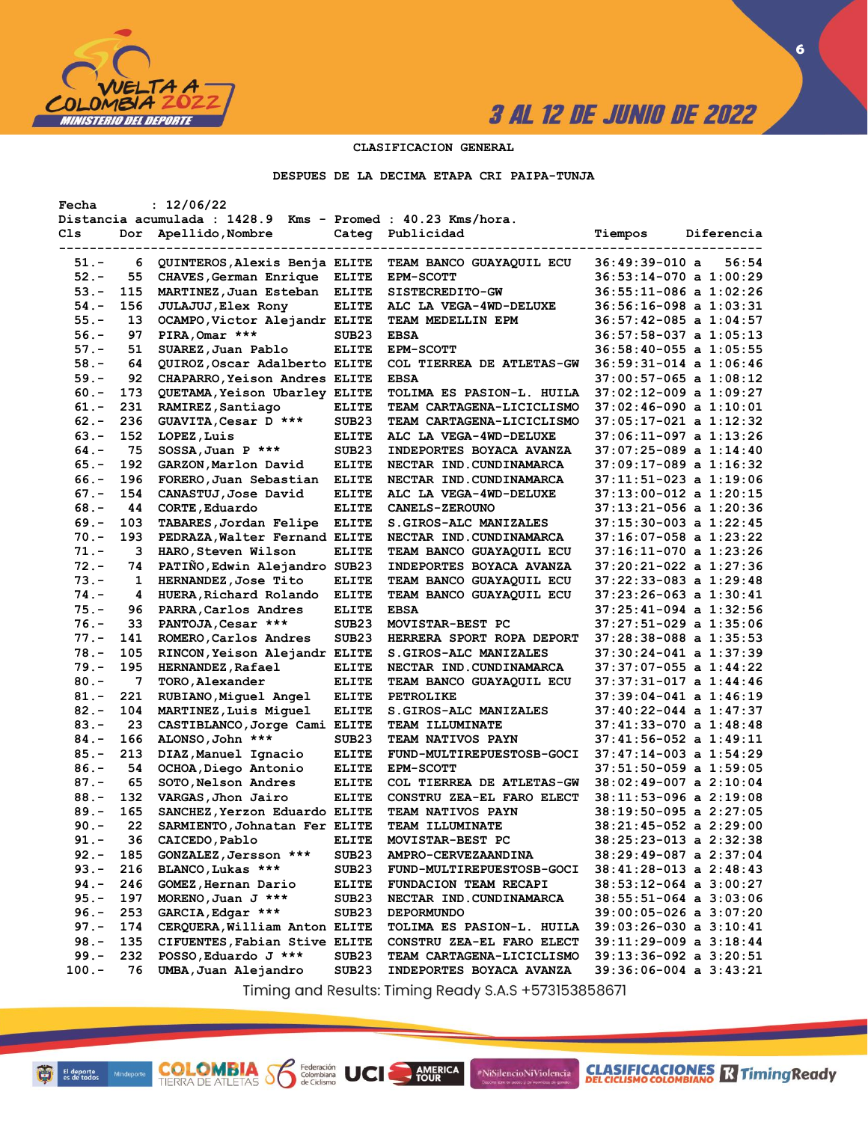

**CLASIFICACIONES** TimingReady

**6**

### **CLASIFICACION GENERAL**

**DESPUES DE LA DECIMA ETAPA CRI PAIPA-TUNJA**

| Fecha   |     | : 12/06/22                                                  |                   |                                  |                                                      |
|---------|-----|-------------------------------------------------------------|-------------------|----------------------------------|------------------------------------------------------|
|         |     | Distancia acumulada : 1428.9 Kms - Promed : 40.23 Kms/hora. |                   |                                  |                                                      |
| Cls     | Dor | Apellido, Nombre                                            |                   | Categ Publicidad                 | Tiempos<br>Diferencia                                |
|         |     |                                                             | ----------------- |                                  |                                                      |
| 51.-    | 6   | QUINTEROS, Alexis Benja ELITE                               |                   | TEAM BANCO GUAYAQUIL ECU         | 36:49:39-010 a<br>56:54                              |
| $52 -$  | 55  | CHAVES, German Enrique                                      | <b>ELITE</b>      | <b>EPM-SCOTT</b>                 | $36:53:14-070$ a $1:00:29$                           |
| $53 -$  | 115 | MARTINEZ, Juan Esteban                                      | <b>ELITE</b>      | SISTECREDITO-GW                  | $36:55:11-086$ a $1:02:26$                           |
| $54. -$ | 156 | <b>JULAJUJ, Elex Rony</b>                                   | <b>ELITE</b>      | ALC LA VEGA-4WD-DELUXE           | 36:56:16-098 a 1:03:31                               |
| $55. -$ | 13  | OCAMPO, Victor Alejandr ELITE                               |                   | TEAM MEDELLIN EPM                | $36:57:42-085$ a $1:04:57$                           |
| $56. -$ | 97  | PIRA, Omar ***                                              | SUB <sub>23</sub> | <b>EBSA</b>                      | $36:57:58-037$ a $1:05:13$                           |
| $57. -$ | 51  | SUAREZ, Juan Pablo                                          | <b>ELITE</b>      | <b>EPM-SCOTT</b>                 | 36:58:40-055 a 1:05:55                               |
| $58. -$ | 64  | QUIROZ, Oscar Adalberto ELITE                               |                   | COL TIERREA DE ATLETAS-GW        | $36:59:31-014$ a $1:06:46$                           |
| $59. -$ | 92  | CHAPARRO, Yeison Andres ELITE                               |                   | <b>EBSA</b>                      | 37:00:57-065 a 1:08:12                               |
| $60 -$  | 173 | QUETAMA, Yeison Ubarley ELITE                               |                   | TOLIMA ES PASION-L. HUILA        | $37:02:12-009$ a $1:09:27$                           |
| $61. -$ | 231 | RAMIREZ, Santiago                                           | <b>ELITE</b>      | <b>TEAM CARTAGENA-LICICLISMO</b> | $37:02:46-090$ a $1:10:01$                           |
| $62 -$  | 236 | GUAVITA, Cesar D ***                                        | SUB <sub>23</sub> | <b>TEAM CARTAGENA-LICICLISMO</b> | 37:05:17-021 a 1:12:32                               |
| $63 -$  | 152 | LOPEZ, Luis                                                 | <b>ELITE</b>      | ALC LA VEGA-4WD-DELUXE           | 37:06:11-097 a 1:13:26                               |
| $64. -$ | 75  | $SOSSA, Juan P$ ***                                         | SUB <sub>23</sub> | <b>INDEPORTES BOYACA AVANZA</b>  | $37:07:25-089$ a $1:14:40$                           |
| $65. -$ | 192 | GARZON,Marlon David                                         | <b>ELITE</b>      | NECTAR IND.CUNDINAMARCA          | 37:09:17-089 a 1:16:32                               |
| $66. -$ | 196 | FORERO, Juan Sebastian                                      | <b>ELITE</b>      | NECTAR IND. CUNDINAMARCA         | 37:11:51-023 a 1:19:06                               |
| $67. -$ | 154 | CANASTUJ, Jose David                                        | <b>ELITE</b>      | ALC LA VEGA-4WD-DELUXE           | 37:13:00-012 a 1:20:15                               |
| $68. -$ | 44  | CORTE, Eduardo                                              | <b>ELITE</b>      | <b>CANELS-ZEROUNO</b>            | 37:13:21-056 a 1:20:36                               |
| $69. -$ | 103 | TABARES, Jordan Felipe                                      | <b>ELITE</b>      | <b>S.GIROS-ALC MANIZALES</b>     | 37:15:30-003 a 1:22:45                               |
| $70. -$ | 193 | PEDRAZA, Walter Fernand ELITE                               |                   | NECTAR IND.CUNDINAMARCA          | 37:16:07-058 a 1:23:22                               |
| $71. -$ | з   | HARO, Steven Wilson                                         | <b>ELITE</b>      | <b>TEAM BANCO GUAYAQUIL ECU</b>  | 37:16:11-070 a 1:23:26                               |
| $72 -$  | 74  | PATIÑO, Edwin Alejandro SUB23                               |                   | INDEPORTES BOYACA AVANZA         | 37:20:21-022 a 1:27:36                               |
| $73. -$ | 1   | HERNANDEZ, Jose Tito                                        | <b>ELITE</b>      | <b>TEAM BANCO GUAYAQUIL ECU</b>  | 37:22:33-083 a 1:29:48                               |
|         |     |                                                             |                   |                                  |                                                      |
| $74. -$ | 4   | HUERA, Richard Rolando                                      | <b>ELITE</b>      | TEAM BANCO GUAYAQUIL ECU         | 37:23:26-063 a 1:30:41<br>$37:25:41-094$ a $1:32:56$ |
| $75. -$ | 96  | PARRA, Carlos Andres                                        | <b>ELITE</b>      | <b>EBSA</b>                      |                                                      |
| $76. -$ | 33  | PANTOJA, Cesar ***                                          | SUB <sub>23</sub> | MOVISTAR-BEST PC                 | 37:27:51-029 a 1:35:06                               |
| $77. -$ | 141 | ROMERO, Carlos Andres                                       | SUB <sub>23</sub> | HERRERA SPORT ROPA DEPORT        | 37:28:38-088 a 1:35:53                               |
| $78. -$ | 105 | RINCON, Yeison Alejandr ELITE                               |                   | <b>S.GIROS-ALC MANIZALES</b>     | 37:30:24-041 a 1:37:39                               |
| $79. -$ | 195 | HERNANDEZ, Rafael                                           | <b>ELITE</b>      | NECTAR IND. CUNDINAMARCA         | $37:37:07-055$ a $1:44:22$                           |
| $80 -$  | 7   | TORO, Alexander                                             | <b>ELITE</b>      | <b>TEAM BANCO GUAYAQUIL ECU</b>  | $37:37:31-017$ a $1:44:46$                           |
| $81. -$ | 221 | RUBIANO, Miguel Angel                                       | <b>ELITE</b>      | <b>PETROLIKE</b>                 | $37:39:04-041$ a $1:46:19$                           |
| $82 -$  | 104 | MARTINEZ, Luis Miguel                                       | <b>ELITE</b>      | <b>S.GIROS-ALC MANIZALES</b>     | $37:40:22-044$ a $1:47:37$                           |
| $83. -$ | 23  | CASTIBLANCO, Jorge Cami ELITE                               |                   | <b>TEAM ILLUMINATE</b>           | 37:41:33-070 a 1:48:48                               |
| $84. -$ | 166 | ALONSO, John ***                                            | SUB <sub>23</sub> | <b>TEAM NATIVOS PAYN</b>         | 37:41:56-052 a 1:49:11                               |
| $85. -$ | 213 | DIAZ, Manuel Ignacio                                        | <b>ELITE</b>      | FUND-MULTIREPUESTOSB-GOCI        | 37:47:14-003 a 1:54:29                               |
| $86. -$ | 54  | OCHOA, Diego Antonio                                        | <b>ELITE</b>      | <b>EPM-SCOTT</b>                 | $37:51:50-059$ a $1:59:05$                           |
| $87. -$ | 65  | SOTO, Nelson Andres                                         | <b>ELITE</b>      | COL TIERREA DE ATLETAS-GW        | $38:02:49-007$ a $2:10:04$                           |
| $88. -$ | 132 | VARGAS, Jhon Jairo                                          | <b>ELITE</b>      | CONSTRU ZEA-EL FARO ELECT        | $38:11:53-096$ a $2:19:08$                           |
| $89. -$ | 165 | SANCHEZ, Yerzon Eduardo ELITE                               |                   | <b>TEAM NATIVOS PAYN</b>         | $38:19:50-095$ a $2:27:05$                           |
| $90 -$  | 22  | SARMIENTO, Johnatan Fer ELITE                               |                   | TEAM ILLUMINATE                  | 38:21:45-052 a 2:29:00                               |
| 91.-    | 36  | CAICEDO, Pablo                                              | <b>ELITE</b>      | MOVISTAR-BEST PC                 | $38:25:23-013$ a $2:32:38$                           |
| $92 -$  | 185 | GONZALEZ, Jersson ***                                       | SUB <sub>23</sub> | <b>AMPRO-CERVEZAANDINA</b>       | 38:29:49-087 a 2:37:04                               |
| $93 -$  | 216 | BLANCO, Lukas ***                                           | SUB23             | FUND-MULTIREPUESTOSB-GOCI        | $38:41:28-013$ a $2:48:43$                           |
| $94. -$ | 246 | GOMEZ, Hernan Dario                                         | <b>ELITE</b>      | FUNDACION TEAM RECAPI            | $38:53:12-064$ a $3:00:27$                           |
| $95. -$ | 197 | MORENO, Juan J ***                                          | SUB <sub>23</sub> | NECTAR IND. CUNDINAMARCA         | $38:55:51-064$ a $3:03:06$                           |
| $96. -$ | 253 | GARCIA, Edgar ***                                           | SUB <sub>23</sub> | <b>DEPORMUNDO</b>                | $39:00:05-026$ a $3:07:20$                           |
| $97. -$ | 174 | CERQUERA, William Anton ELITE                               |                   | TOLIMA ES PASION-L. HUILA        | $39:03:26-030$ a $3:10:41$                           |
| $98 -$  | 135 | CIFUENTES, Fabian Stive ELITE                               |                   | CONSTRU ZEA-EL FARO ELECT        | 39:11:29-009 a 3:18:44                               |
| $99. -$ | 232 | POSSO, Eduardo J ***                                        | SUB <sub>23</sub> | TEAM CARTAGENA-LICICLISMO        | $39:13:36-092$ a $3:20:51$                           |
| $100.-$ | 76  | UMBA, Juan Alejandro                                        | SUB <sub>23</sub> | INDEPORTES BOYACA AVANZA         | $39:36:06-004$ a $3:43:21$                           |

Timing and Results: Timing Ready S.A.S +573153858671

AMERICA

#NiSilencioNiViolencia

**COLOMBIA SP** 

Federación<br>Colombiana<br>de Ciclismo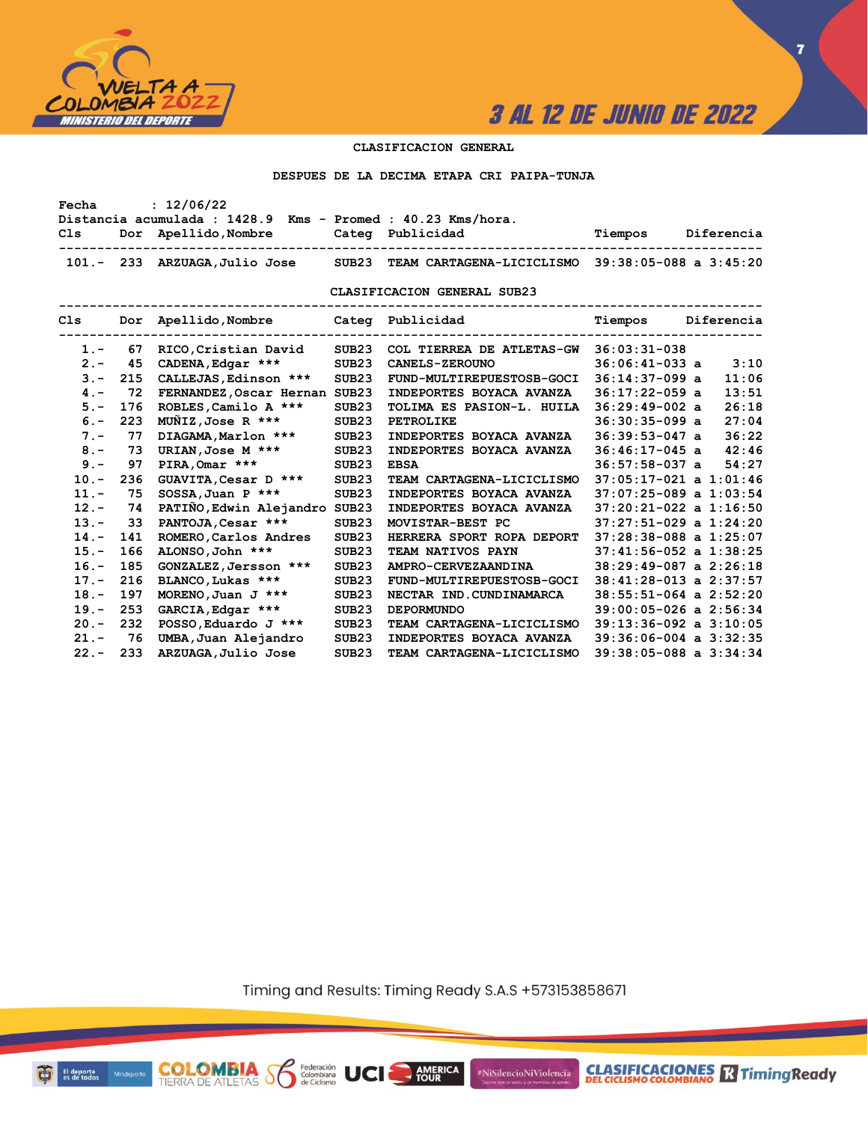

**7**

### **CLASIFICACION GENERAL**

#### **DESPUES DE LA DECIMA ETAPA CRI PAIPA-TUNJA**

| Fecha   |                                                                                                      | : 12/06/22                                |                   |                                                  |                                                     |  |  |  |  |  |  |  |
|---------|------------------------------------------------------------------------------------------------------|-------------------------------------------|-------------------|--------------------------------------------------|-----------------------------------------------------|--|--|--|--|--|--|--|
|         | Distancia acumulada : 1428.9 Kms - Promed : 40.23 Kms/hora.<br>Dor Apellido, Nombre Cateq Publicidad |                                           |                   |                                                  |                                                     |  |  |  |  |  |  |  |
| C1s     |                                                                                                      |                                           |                   |                                                  | Tiempos Diferencia                                  |  |  |  |  |  |  |  |
|         |                                                                                                      | 101.- 233 ARZUAGA, Julio Jose             | SUB23             | TEAM CARTAGENA-LICICLISMO 39:38:05-088 a 3:45:20 |                                                     |  |  |  |  |  |  |  |
|         |                                                                                                      |                                           |                   | CLASIFICACION GENERAL SUB23<br>----------------- |                                                     |  |  |  |  |  |  |  |
|         |                                                                                                      | Cls Dor Apellido, Nombre Cateq Publicidad |                   |                                                  | Tiempos Diferencia<br>----------------------------- |  |  |  |  |  |  |  |
| $1 -$   | 67                                                                                                   | RICO, Cristian David                      | SUB <sub>23</sub> | COL TIERREA DE ATLETAS-GW 36:03:31-038           |                                                     |  |  |  |  |  |  |  |
| $2 -$   | 45                                                                                                   | CADENA, Edgar ***                         | SUB <sub>23</sub> | <b>CANELS-ZEROUNO</b>                            | 3:10<br>$36:06:41-033$ a                            |  |  |  |  |  |  |  |
| $3 -$   | 215                                                                                                  | CALLEJAS, Edinson ***                     | SUB <sub>23</sub> | FUND-MULTIREPUESTOSB-GOCI                        | 11:06<br>$36:14:37-099$ a                           |  |  |  |  |  |  |  |
| $4 -$   | 72                                                                                                   | FERNANDEZ, Oscar Hernan SUB23             |                   | INDEPORTES BOYACA AVANZA                         | 13:51<br>$36:17:22-059$ a                           |  |  |  |  |  |  |  |
| $5. -$  | 176                                                                                                  | ROBLES, Camilo A ***                      | SUB <sub>23</sub> | TOLIMA ES PASION-L. HUILA                        | 26:18<br>$36:29:49-002$ a                           |  |  |  |  |  |  |  |
| $6. -$  | 223                                                                                                  | $M\tilde{M}IZ$ , Jose R ***               | SUB <sub>23</sub> | PETROLIKE                                        | 27:04<br>$36:30:35-099$ a                           |  |  |  |  |  |  |  |
| $7 -$   | 77                                                                                                   | DIAGAMA, Marlon ***                       | SUB <sub>23</sub> | INDEPORTES BOYACA AVANZA                         | 36:22<br>$36:39:53-047$ a                           |  |  |  |  |  |  |  |
| $8 -$   | 73                                                                                                   | URIAN, Jose M ***                         | SUB <sub>23</sub> | INDEPORTES BOYACA AVANZA                         | 42:46<br>$36:46:17-045$ a                           |  |  |  |  |  |  |  |
| $9 -$   | 97                                                                                                   | PIRA, Omar ***                            | SUB <sub>23</sub> | <b>EBSA</b>                                      | 54:27<br>$36:57:58-037$ a                           |  |  |  |  |  |  |  |
| $10. -$ | 236                                                                                                  | GUAVITA, Cesar D ***                      | SUB23             | TEAM CARTAGENA-LICICLISMO                        | $37:05:17-021$ a $1:01:46$                          |  |  |  |  |  |  |  |
| $11. -$ | 75                                                                                                   | $SOSSA$ , Juan P ***                      | SUB <sub>23</sub> | INDEPORTES BOYACA AVANZA                         | $37:07:25-089$ a $1:03:54$                          |  |  |  |  |  |  |  |
| $12 -$  | 74                                                                                                   | PATIÑO, Edwin Alejandro SUB23             |                   | INDEPORTES BOYACA AVANZA                         | $37:20:21-022$ a $1:16:50$                          |  |  |  |  |  |  |  |
| $13 -$  | 33                                                                                                   | PANTOJA, Cesar ***                        | SUB <sub>23</sub> | MOVISTAR-BEST PC                                 | $37:27:51-029$ a $1:24:20$                          |  |  |  |  |  |  |  |
| $14. -$ | 141                                                                                                  | ROMERO, Carlos Andres                     | SUB <sub>23</sub> | HERRERA SPORT ROPA DEPORT                        | $37:28:38-088$ a $1:25:07$                          |  |  |  |  |  |  |  |
| $15. -$ | 166                                                                                                  | ALONSO, John ***                          | SUB <sub>23</sub> | TEAM NATIVOS PAYN                                | $37:41:56-052$ a $1:38:25$                          |  |  |  |  |  |  |  |
| $16. -$ | 185                                                                                                  | GONZALEZ, Jersson ***                     | SUB <sub>23</sub> | AMPRO-CERVEZAANDINA                              | $38:29:49-087$ a $2:26:18$                          |  |  |  |  |  |  |  |
| $17. -$ | 216                                                                                                  | BLANCO, Lukas ***                         | SUB <sub>23</sub> | FUND-MULTIREPUESTOSB-GOCI                        | $38:41:28-013$ a $2:37:57$                          |  |  |  |  |  |  |  |
| $18. -$ | 197                                                                                                  | MORENO, Juan J ***                        | SUB <sub>23</sub> | NECTAR IND. CUNDINAMARCA                         | $38:55:51-064$ a $2:52:20$                          |  |  |  |  |  |  |  |
| $19. -$ | 253                                                                                                  | GARCIA, Edgar ***                         | SUB <sub>23</sub> | <b>DEPORMUNDO</b>                                | $39:00:05-026$ a $2:56:34$                          |  |  |  |  |  |  |  |
| $20 -$  | 232                                                                                                  | POSSO, Eduardo J ***                      | SUB <sub>23</sub> | TEAM CARTAGENA-LICICLISMO                        | $39:13:36-092$ a $3:10:05$                          |  |  |  |  |  |  |  |
| $21. -$ | 76                                                                                                   | UMBA, Juan Alejandro                      | SUB <sub>23</sub> | INDEPORTES BOYACA AVANZA                         | $39:36:06-004$ a $3:32:35$                          |  |  |  |  |  |  |  |
| $22 -$  | 233                                                                                                  | ARZUAGA, Julio Jose                       | SUB <sub>23</sub> | TEAM CARTAGENA-LICICLISMO                        | $39:38:05-088$ a $3:34:34$                          |  |  |  |  |  |  |  |

Timing and Results: Timing Ready S.A.S +573153858671

**AMERICA** 

UCI

#NiSilencioNiViolencia



**COLOMBIA** Solenbiana<br>TIERRA DE ATLETAS Solenbiana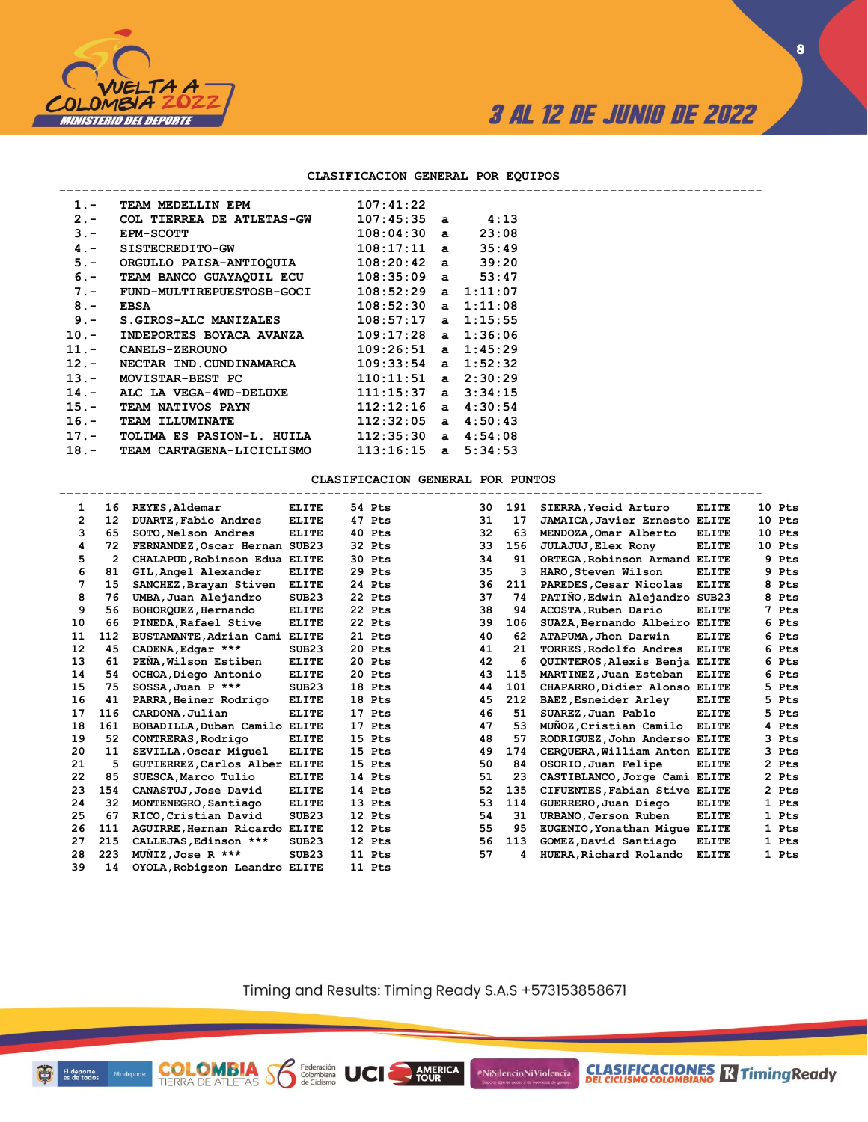

**CLASIFICACIONES R** Timing Ready

#### **CLASIFICACION GENERAL POR EQUIPOS**

| $1 -$   | TEAM MEDELLIN EPM                                   | 107:41:22               |         |
|---------|-----------------------------------------------------|-------------------------|---------|
| $2 -$   | COL TIERREA DE ATLETAS-GW                           | 107:45:35 a             | 4:13    |
| $3 -$   | <b>EPM-SCOTT</b>                                    | $108:04:30$ a           | 23:08   |
| $4. -$  | SISTECREDITO-GW                                     | $108:17:11$ a           | 35:49   |
| $5. -$  | ORGULLO PAISA-ANTIOQUIA 108:20:42 a 39:20           |                         |         |
| $6. -$  | TEAM BANCO GUAYAQUIL ECU 108:35:09 a 53:47          |                         |         |
| $7 -$   | $FUND-MULTIREPUESTOSB-GOCI$ $108:52:29$ a $1:11:07$ |                         |         |
| $8 -$   | EBSA                                                | $108:52:30$ a $1:11:08$ |         |
| $9 -$   | S.GIROS-ALC MANIZALES                               | $108:57:17$ a $1:15:55$ |         |
| $10. -$ | INDEPORTES BOYACA AVANZA 109:17:28 a 1:36:06        |                         |         |
|         | 11. - CANELS-ZEROUNO                                | $109:26:51$ a $1:45:29$ |         |
| $12. -$ | NECTAR IND.CUNDINAMARCA                             | $109:33:54$ a $1:52:32$ |         |
| $13. -$ | MOVISTAR-BEST PC                                    | $110:11:51$ a $2:30:29$ |         |
| $14. -$ | ALC LA VEGA-4WD-DELUXE                              | $111:15:37$ a $3:34:15$ |         |
| $15. -$ | <b>TEAM NATIVOS PAYN</b>                            | $112:12:16$ a           | 4:30:54 |
| $16. -$ | <b>TEAM ILLUMINATE</b>                              | $112:32:05$ a           | 4:50:43 |
| $17. -$ | TOLIMA ES PASION-L. HUILA                           | 112:35:30a              | 4:54:08 |
|         | 18. - TEAM CARTAGENA-LICICLISMO                     | $113:16:15$ a $5:34:53$ |         |
|         |                                                     |                         |         |

**COLOMBIA Se Ederación** UCI

### **CLASIFICACION GENERAL POR PUNTOS**

| $\mathbf{1}$ | 16                | REYES, Aldemar                 | <b>ELITE</b>      | 54 Pts | 30 | 191 | SIERRA, Yecid Arturo          | <b>ELITE</b> |   | 10 Pts |
|--------------|-------------------|--------------------------------|-------------------|--------|----|-----|-------------------------------|--------------|---|--------|
| 2            | $12 \overline{ }$ | DUARTE, Fabio Andres           | <b>ELITE</b>      | 47 Pts | 31 | 17  | JAMAICA, Javier Ernesto       | <b>ELITE</b> |   | 10 Pts |
| з            | 65                | SOTO.Nelson Andres             | <b>ELITE</b>      | 40 Pts | 32 | 63  | MENDOZA.Omar Alberto          | <b>ELITE</b> |   | 10 Pts |
| 4            | 72                | FERNANDEZ, Oscar Hernan SUB23  |                   | 32 Pts | 33 | 156 | JULAJUJ, Elex Rony            | <b>ELITE</b> |   | 10 Pts |
| 5            | $\mathbf{2}$      | CHALAPUD, Robinson Edua ELITE  |                   | 30 Pts | 34 | 91  | ORTEGA, Robinson Armand ELITE |              | 9 | Pts    |
| 6            | 81                | GIL, Angel Alexander           | <b>ELITE</b>      | 29 Pts | 35 | з   | HARO.Steven Wilson            | <b>ELITE</b> | 9 | Pts    |
| 7            | 15                | SANCHEZ, Brayan Stiven         | <b>ELITE</b>      | 24 Pts | 36 | 211 | PAREDES, Cesar Nicolas        | <b>ELITE</b> | 8 | Pts    |
| 8            | 76                | UMBA, Juan Alejandro           | SUB <sub>23</sub> | 22 Pts | 37 | 74  | PATIÑO, Edwin Alejandro SUB23 |              |   | 8 Pts  |
| 9            | 56                | BOHORQUEZ, Hernando            | <b>ELITE</b>      | 22 Pts | 38 | 94  | ACOSTA, Ruben Dario           | <b>ELITE</b> | 7 | Pts    |
| 10           | 66                | PINEDA, Rafael Stive           | <b>ELITE</b>      | 22 Pts | 39 | 106 | SUAZA, Bernando Albeiro ELITE |              | 6 | Pts    |
| 11           | 112               | BUSTAMANTE, Adrian Cami        | <b>ELITE</b>      | 21 Pts | 40 | 62  | ATAPUMA, Jhon Darwin          | <b>ELITE</b> | 6 | Pts    |
| 12           | 45                | CADENA, Edgar ***              | SUB <sub>23</sub> | 20 Pts | 41 | 21  | TORRES, Rodolfo Andres        | <b>ELITE</b> |   | 6 Pts  |
| 13           | 61                | PEÑA, Wilson Estiben           | <b>ELITE</b>      | 20 Pts | 42 | 6   | QUINTEROS, Alexis Benja ELITE |              | 6 | Pts    |
| 14           | 54                | OCHOA, Diego Antonio           | <b>ELITE</b>      | 20 Pts | 43 | 115 | MARTINEZ, Juan Esteban        | <b>ELITE</b> | 6 | Pts    |
| 15           | 75                | $SOSSA.Juan P$ ***             | SUB23             | 18 Pts | 44 | 101 | CHAPARRO, Didier Alonso ELITE |              | 5 | Pts    |
| 16           | 41                | PARRA, Heiner Rodrigo          | <b>ELITE</b>      | 18 Pts | 45 | 212 | BAEZ, Esneider Arley          | <b>ELITE</b> |   | 5 Pts  |
| 17           | 116               | CARDONA, Julian                | <b>ELITE</b>      | 17 Pts | 46 | 51  | SUAREZ, Juan Pablo            | <b>ELITE</b> | 5 | Pts    |
| 18           | 161               | BOBADILLA, Duban Camilo        | <b>ELITE</b>      | 17 Pts | 47 | 53  | MUÑOZ, Cristian Camilo        | <b>ELITE</b> |   | 4 Pts  |
| 19           | 52                | CONTRERAS, Rodrigo             | <b>ELITE</b>      | 15 Pts | 48 | 57  | RODRIGUEZ, John Anderso ELITE |              | 3 | Pts    |
| 20           | 11                | SEVILLA, Oscar Miquel          | <b>ELITE</b>      | 15 Pts | 49 | 174 | CEROUERA, William Anton ELITE |              |   | 3 Pts  |
| 21           | 5                 | GUTIERREZ, Carlos Alber ELITE  |                   | 15 Pts | 50 | 84  | OSORIO, Juan Felipe           | <b>ELITE</b> |   | 2 Pts  |
| 22           | 85                | SUESCA, Marco Tulio            | <b>ELITE</b>      | 14 Pts | 51 | 23  | CASTIBLANCO, Jorge Cami       | <b>ELITE</b> |   | 2 Pts  |
| 23           | 154               | CANASTUJ, Jose David           | <b>ELITE</b>      | 14 Pts | 52 | 135 | CIFUENTES, Fabian Stive ELITE |              |   | 2 Pts  |
| 24           | 32                | MONTENEGRO, Santiago           | <b>ELITE</b>      | 13 Pts | 53 | 114 | GUERRERO, Juan Diego          | <b>ELITE</b> |   | 1 Pts  |
| 25           | 67                | RICO, Cristian David           | SUB <sub>23</sub> | 12 Pts | 54 | 31  | URBANO, Jerson Ruben          | <b>ELITE</b> |   | 1 Pts  |
| 26           | 111               | AGUIRRE, Hernan Ricardo        | <b>ELITE</b>      | 12 Pts | 55 | 95  | EUGENIO, Yonathan Mique ELITE |              |   | 1 Pts  |
| 27           | 215               | CALLEJAS, Edinson ***          | SUB <sub>23</sub> | 12 Pts | 56 | 113 | GOMEZ, David Santiago         | <b>ELITE</b> |   | 1 Pts  |
| 28           | 223               | $M\overline{M}IZ$ , Jose R *** | SUB23             | 11 Pts | 57 | 4   | HUERA, Richard Rolando        | <b>ELITE</b> |   | 1 Pts  |
| 39           | 14                | OYOLA, Robigzon Leandro ELITE  |                   | 11 Pts |    |     |                               |              |   |        |

Timing and Results: Timing Ready S.A.S +573153858671

AMERICA

#NiSilencioNiViolencia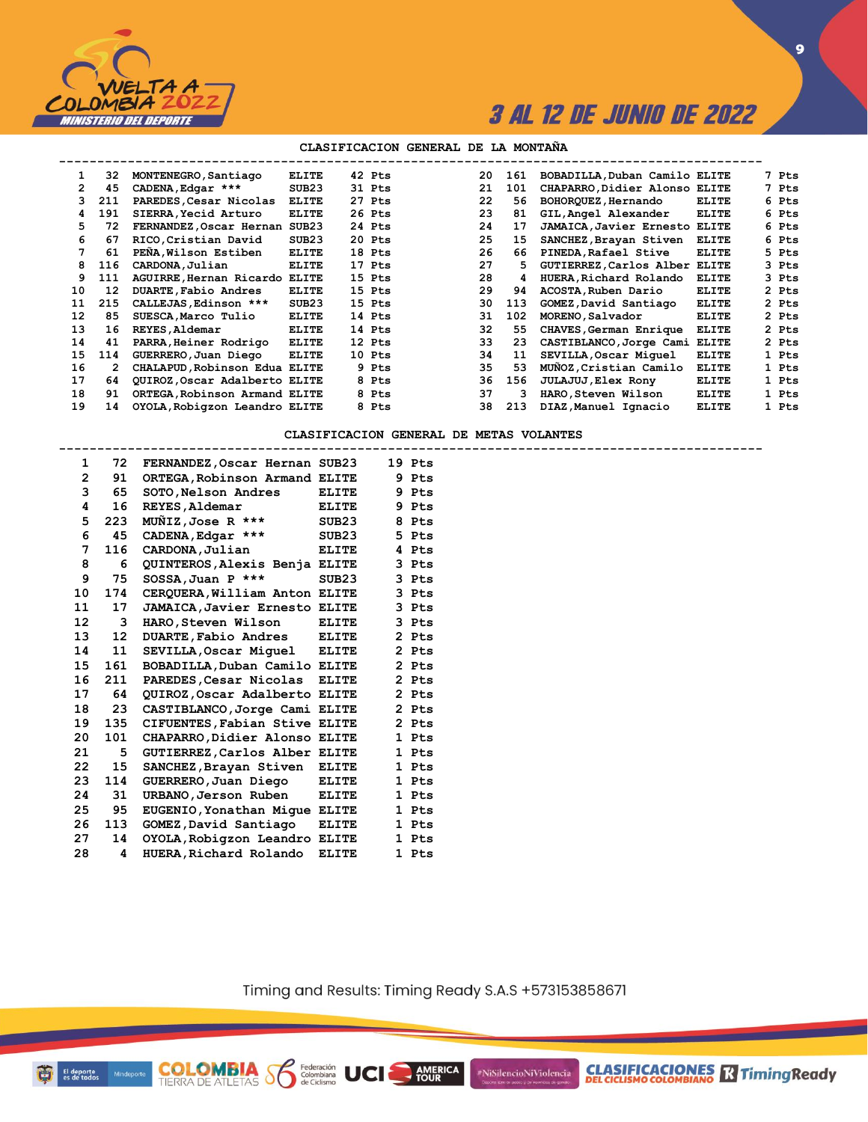

### **CLASIFICACION GENERAL DE LA MONTAÑA**

| 1.                   | 32  | MONTENEGRO, Santiago          | <b>ELITE</b> | 42 Pts | 20 | 161 | BOBADILLA, Duban Camilo ELITE        |              | 7 Pts |
|----------------------|-----|-------------------------------|--------------|--------|----|-----|--------------------------------------|--------------|-------|
| $\mathbf{2}^{\circ}$ | 45  | CADENA, Edgar ***             | SUB23        | 31 Pts | 21 | 101 | CHAPARRO, Didier Alonso ELITE        |              | 7 Pts |
| 3.                   | 211 | PAREDES, Cesar Nicolas        | <b>ELITE</b> | 27 Pts | 22 | 56  | BOHORQUEZ, Hernando                  | <b>ELITE</b> | 6 Pts |
| 4                    | 191 | SIERRA, Yecid Arturo          | <b>ELITE</b> | 26 Pts | 23 | 81  | GIL, Angel Alexander                 | <b>ELITE</b> | 6 Pts |
| 5.                   | 72  | FERNANDEZ, Oscar Hernan       | SUB23        | 24 Pts | 24 | 17  | <b>JAMAICA, Javier Ernesto ELITE</b> |              | 6 Pts |
| 6                    | 67  | RICO, Cristian David          | SUB23        | 20 Pts | 25 | 15  | SANCHEZ, Brayan Stiven               | <b>ELITE</b> | 6 Pts |
|                      | 61  | PEÑA, Wilson Estiben          | <b>ELITE</b> | 18 Pts | 26 | 66  | PINEDA, Rafael Stive                 | <b>ELITE</b> | 5 Pts |
| 8                    | 116 | CARDONA, Julian               | <b>ELITE</b> | 17 Pts | 27 | 5.  | GUTIERREZ, Carlos Alber ELITE        |              | 3 Pts |
| 9                    | 111 | AGUIRRE, Hernan Ricardo ELITE |              | 15 Pts | 28 | 4   | HUERA, Richard Rolando               | <b>ELITE</b> | 3 Pts |
| 10                   | 12  | DUARTE, Fabio Andres          | <b>ELITE</b> | 15 Pts | 29 | 94  | ACOSTA, Ruben Dario                  | <b>ELITE</b> | 2 Pts |
| 11                   | 215 | CALLEJAS, Edinson ***         | SUB23        | 15 Pts | 30 | 113 | GOMEZ, David Santiago                | <b>ELITE</b> | 2 Pts |
| 12                   | 85  | SUESCA, Marco Tulio           | <b>ELITE</b> | 14 Pts | 31 | 102 | MORENO.Salvador                      | <b>ELITE</b> | 2 Pts |
| 13                   | 16  | REYES, Aldemar                | <b>ELITE</b> | 14 Pts | 32 | 55. | CHAVES, German Enrique               | <b>ELITE</b> | 2 Pts |
| 14                   | 41  | PARRA, Heiner Rodrigo         | <b>ELITE</b> | 12 Pts | 33 | 23  | CASTIBLANCO, Jorge Cami              | ELITE        | 2 Pts |
| 15                   | 114 | GUERRERO, Juan Diego          | <b>ELITE</b> | 10 Pts | 34 | 11  | SEVILLA, Oscar Miquel                | <b>ELITE</b> | 1 Pts |
| 16                   | 2   | CHALAPUD, Robinson Edua ELITE |              | 9 Pts  | 35 | 53  | MUNOZ, Cristian Camilo               | <b>ELITE</b> | 1 Pts |
| 17                   | 64  | QUIROZ, Oscar Adalberto ELITE |              | 8 Pts  | 36 | 156 | JULAJUJ, Elex Rony                   | <b>ELITE</b> | 1 Pts |
| 18                   | 91  | ORTEGA, Robinson Armand ELITE |              | 8 Pts  | 37 | з   | HARO, Steven Wilson                  | <b>ELITE</b> | 1 Pts |
| 19                   | 14  | OYOLA, Robigzon Leandro ELITE |              | 8 Pts  | 38 | 213 | DIAZ, Manuel Ignacio                 | <b>ELITE</b> | 1 Pts |
|                      |     |                               |              |        |    |     |                                      |              |       |

**CLASIFICACION GENERAL DE METAS VOLANTES**

**--------------------------------------------------------------------------------------------**

| 1              | 72  | FERNANDEZ, Oscar Hernan SUB23        |              |    | 19 Pts     |
|----------------|-----|--------------------------------------|--------------|----|------------|
| $\overline{2}$ | 91  | ORTEGA, Robinson Armand ELITE        |              |    | 9 Pts      |
| 3              | 65  | SOTO, Nelson Andres                  | <b>ELITE</b> | 9. | <b>Pts</b> |
| 4              | 16  | REYES, Aldemar                       | <b>ELITE</b> |    | 9 Pts      |
| 5              | 223 | $M\tilde{M}IZ$ , Jose R ***          | SUB23        |    | 8 Pts      |
| 6              | 45  | CADENA, Edgar ***                    | SUB23        |    | 5 Pts      |
| 7              | 116 | CARDONA, Julian                      | <b>ELITE</b> |    | 4 Pts      |
| 8              | 6   | <b>QUINTEROS, Alexis Benja ELITE</b> |              |    | 3 Pts      |
| 9              | 75  | SOSSA, Juan P ***                    | SUB23        |    | 3 Pts      |
| 10             | 174 | CERQUERA, William Anton              | <b>ELITE</b> |    | 3 Pts      |
| 11             | 17  | JAMAICA, Javier Ernesto ELITE        |              |    | 3 Pts      |
| 12             | 3   | HARO, Steven Wilson                  | <b>ELITE</b> |    | 3 Pts      |
| 13             | 12  | <b>DUARTE, Fabio Andres</b>          | <b>ELITE</b> |    | 2 Pts      |
| 14             | 11  | SEVILLA,Oscar Miquel                 | ELITE        |    | 2 Pts      |
| 15             | 161 | BOBADILLA, Duban Camilo ELITE        |              |    | 2 Pts      |
| 16             | 211 | PAREDES, Cesar Nicolas               | <b>ELITE</b> |    | 2 Pts      |
| 17             | 64  | QUIROZ, Oscar Adalberto ELITE        |              |    | 2 Pts      |
| 18             | 23  | CASTIBLANCO, Jorge Cami              | <b>ELITE</b> |    | 2 Pts      |
| 19             | 135 | CIFUENTES, Fabian Stive ELITE        |              |    | 2 Pts      |
| 20             | 101 | CHAPARRO, Didier Alonso ELITE        |              | 1  | <b>Pts</b> |
| 21             | 5   | GUTIERREZ, Carlos Alber ELITE        |              |    | 1 Pts      |
| 22             | 15  | SANCHEZ, Brayan Stiven               | <b>ELITE</b> |    | 1 Pts      |
| 23             | 114 | GUERRERO, Juan Diego                 | <b>ELITE</b> |    | 1 Pts      |
| 24             | 31  | URBANO, Jerson Ruben                 | <b>ELITE</b> |    | 1 Pts      |
| 25             | 95  | EUGENIO, Yonathan Mique ELITE        |              |    | 1 Pts      |
| 26             | 113 | GOMEZ, David Santiago                | <b>ELITE</b> |    | 1 Pts      |
| 27             | 14  | OYOLA, Robigzon Leandro ELITE        |              |    | 1 Pts      |
| 28             | 4   | HUERA, Richard Rolando               | <b>ELITE</b> |    | 1 Pts      |

**COLOMBIA**<br>TIERRA DE ATLETAS **S** de Ciclismo

Timing and Results: Timing Ready S.A.S +573153858671

**AMERICA**<br>TOUR

#NiSilencioNiViolencia

Minde